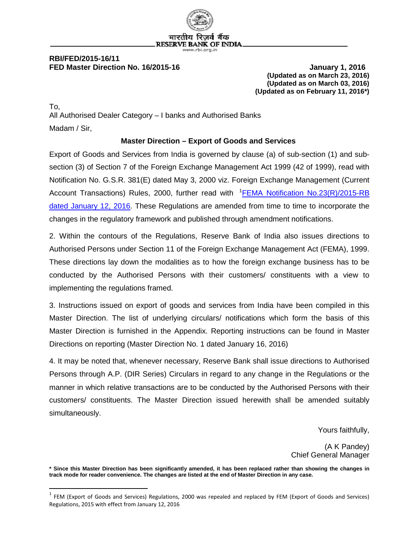

#### **RBI/FED/2015-16/11 FED Master Direction No. 16/2015-16 January 1, 2016**

 $\overline{\phantom{a}}$ 

**(Updated as on March 23, 2016) (Updated as on March 03, 2016) (Updated as on February 11, 2016\*)**

To, All Authorised Dealer Category – I banks and Authorised Banks Madam / Sir,

#### **Master Direction – Export of Goods and Services**

Export of Goods and Services from India is governed by clause (a) of sub-section (1) and subsection (3) of Section 7 of the Foreign Exchange Management Act 1999 (42 of 1999), read with Notification No. G.S.R. 381(E) dated May 3, 2000 viz. Foreign Exchange Management (Current Account Transactions) Rules, 2000, further read with <sup>[1](#page-0-0)</sup>EEMA Notification No.23(R)/2015-RB [dated January 12, 2016.](https://rbi.org.in/Scripts/NotificationUser.aspx?Id=10256&Mode=0) These Regulations are amended from time to time to incorporate the changes in the regulatory framework and published through amendment notifications.

2. Within the contours of the Regulations, Reserve Bank of India also issues directions to Authorised Persons under Section 11 of the Foreign Exchange Management Act (FEMA), 1999. These directions lay down the modalities as to how the foreign exchange business has to be conducted by the Authorised Persons with their customers/ constituents with a view to implementing the regulations framed.

3. Instructions issued on export of goods and services from India have been compiled in this Master Direction. The list of underlying circulars/ notifications which form the basis of this Master Direction is furnished in the Appendix. Reporting instructions can be found in Master Directions on reporting (Master Direction No. 1 dated January 16, 2016)

4. It may be noted that, whenever necessary, Reserve Bank shall issue directions to Authorised Persons through A.P. (DIR Series) Circulars in regard to any change in the Regulations or the manner in which relative transactions are to be conducted by the Authorised Persons with their customers/ constituents. The Master Direction issued herewith shall be amended suitably simultaneously.

Yours faithfully,

(A K Pandey) Chief General Manager

**\* Since this Master Direction has been significantly amended, it has been replaced rather than showing the changes in track mode for reader convenience. The changes are listed at the end of Master Direction in any case.**

<span id="page-0-0"></span> $1$  FEM (Export of Goods and Services) Regulations, 2000 was repealed and replaced by FEM (Export of Goods and Services) Regulations, 2015 with effect from January 12, 2016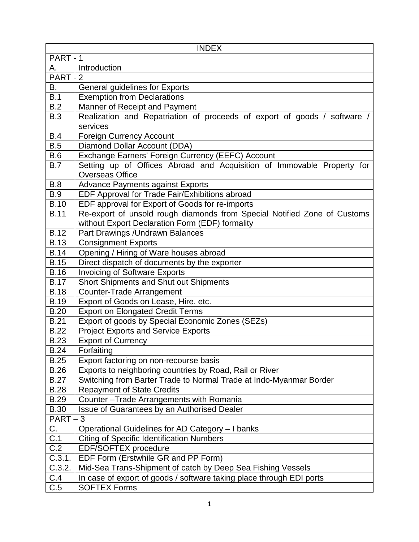| <b>INDEX</b> |                                                                          |  |  |  |
|--------------|--------------------------------------------------------------------------|--|--|--|
| PART-1       |                                                                          |  |  |  |
| Α.           | Introduction                                                             |  |  |  |
| PART - 2     |                                                                          |  |  |  |
| В.           | General guidelines for Exports                                           |  |  |  |
| B.1          | <b>Exemption from Declarations</b>                                       |  |  |  |
| B.2          | Manner of Receipt and Payment                                            |  |  |  |
| <b>B.3</b>   | Realization and Repatriation of proceeds of export of goods / software / |  |  |  |
|              | services                                                                 |  |  |  |
| B.4          | <b>Foreign Currency Account</b>                                          |  |  |  |
| B.5          | Diamond Dollar Account (DDA)                                             |  |  |  |
| B.6          | Exchange Earners' Foreign Currency (EEFC) Account                        |  |  |  |
| <b>B.7</b>   | Setting up of Offices Abroad and Acquisition of Immovable Property for   |  |  |  |
|              | <b>Overseas Office</b>                                                   |  |  |  |
| B.8          | <b>Advance Payments against Exports</b>                                  |  |  |  |
| <b>B.9</b>   | EDF Approval for Trade Fair/Exhibitions abroad                           |  |  |  |
| <b>B.10</b>  | EDF approval for Export of Goods for re-imports                          |  |  |  |
| <b>B.11</b>  | Re-export of unsold rough diamonds from Special Notified Zone of Customs |  |  |  |
|              | without Export Declaration Form (EDF) formality                          |  |  |  |
| <b>B.12</b>  | Part Drawings / Undrawn Balances                                         |  |  |  |
| <b>B.13</b>  | <b>Consignment Exports</b>                                               |  |  |  |
| <b>B.14</b>  | Opening / Hiring of Ware houses abroad                                   |  |  |  |
| <b>B.15</b>  | Direct dispatch of documents by the exporter                             |  |  |  |
| <b>B.16</b>  | <b>Invoicing of Software Exports</b>                                     |  |  |  |
| <b>B.17</b>  | <b>Short Shipments and Shut out Shipments</b>                            |  |  |  |
| <b>B.18</b>  | <b>Counter-Trade Arrangement</b>                                         |  |  |  |
| <b>B.19</b>  | Export of Goods on Lease, Hire, etc.                                     |  |  |  |
| <b>B.20</b>  | <b>Export on Elongated Credit Terms</b>                                  |  |  |  |
| <b>B.21</b>  | Export of goods by Special Economic Zones (SEZs)                         |  |  |  |
| <b>B.22</b>  | <b>Project Exports and Service Exports</b>                               |  |  |  |
| <b>B.23</b>  | <b>Export of Currency</b>                                                |  |  |  |
| <b>B.24</b>  | Forfaiting                                                               |  |  |  |
| <b>B.25</b>  | Export factoring on non-recourse basis                                   |  |  |  |
| <b>B.26</b>  | Exports to neighboring countries by Road, Rail or River                  |  |  |  |
| <b>B.27</b>  | Switching from Barter Trade to Normal Trade at Indo-Myanmar Border       |  |  |  |
| <b>B.28</b>  | <b>Repayment of State Credits</b>                                        |  |  |  |
| <b>B.29</b>  | Counter-Trade Arrangements with Romania                                  |  |  |  |
| <b>B.30</b>  | Issue of Guarantees by an Authorised Dealer                              |  |  |  |
| $PART-3$     |                                                                          |  |  |  |
| C.           | Operational Guidelines for AD Category - I banks                         |  |  |  |
| C.1          | <b>Citing of Specific Identification Numbers</b>                         |  |  |  |
| C.2          | EDF/SOFTEX procedure                                                     |  |  |  |
| C.3.1.       | EDF Form (Erstwhile GR and PP Form)                                      |  |  |  |
| C.3.2.       | Mid-Sea Trans-Shipment of catch by Deep Sea Fishing Vessels              |  |  |  |
| C.4          | In case of export of goods / software taking place through EDI ports     |  |  |  |
| C.5          | <b>SOFTEX Forms</b>                                                      |  |  |  |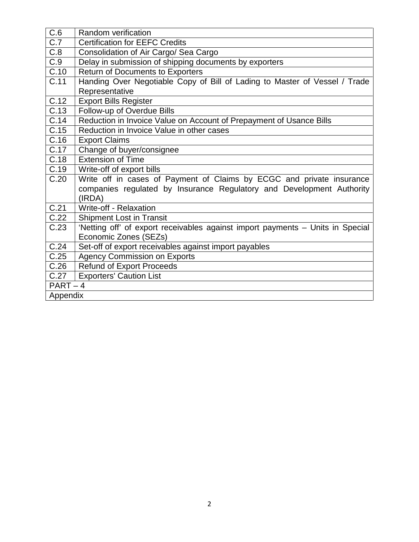| C.6               | Random verification                                                            |  |  |
|-------------------|--------------------------------------------------------------------------------|--|--|
| C.7               | <b>Certification for EEFC Credits</b>                                          |  |  |
| C.8               | Consolidation of Air Cargo/ Sea Cargo                                          |  |  |
| C.9               | Delay in submission of shipping documents by exporters                         |  |  |
| C.10              | <b>Return of Documents to Exporters</b>                                        |  |  |
| $\overline{C.11}$ | Handing Over Negotiable Copy of Bill of Lading to Master of Vessel / Trade     |  |  |
|                   | Representative                                                                 |  |  |
| $\overline{C.12}$ | <b>Export Bills Register</b>                                                   |  |  |
| C.13              | Follow-up of Overdue Bills                                                     |  |  |
| C.14              | Reduction in Invoice Value on Account of Prepayment of Usance Bills            |  |  |
| C.15              | Reduction in Invoice Value in other cases                                      |  |  |
| C.16              | <b>Export Claims</b>                                                           |  |  |
| C.17              | Change of buyer/consignee                                                      |  |  |
| C.18              | <b>Extension of Time</b>                                                       |  |  |
| C.19              | Write-off of export bills                                                      |  |  |
| C.20              | Write off in cases of Payment of Claims by ECGC and private insurance          |  |  |
|                   | companies regulated by Insurance Regulatory and Development Authority          |  |  |
|                   | (IRDA)                                                                         |  |  |
| C.21              | Write-off - Relaxation                                                         |  |  |
| C.22              | <b>Shipment Lost in Transit</b>                                                |  |  |
| C.23              | 'Netting off' of export receivables against import payments - Units in Special |  |  |
|                   | Economic Zones (SEZs)                                                          |  |  |
| C.24              | Set-off of export receivables against import payables                          |  |  |
| C.25              | <b>Agency Commission on Exports</b>                                            |  |  |
| C.26              | <b>Refund of Export Proceeds</b>                                               |  |  |
| C.27              | <b>Exporters' Caution List</b>                                                 |  |  |
| $PART-4$          |                                                                                |  |  |
| Appendix          |                                                                                |  |  |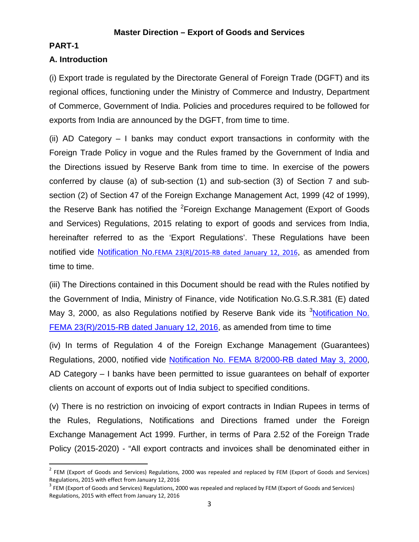### **Master Direction – Export of Goods and Services**

#### **PART-1**

l

### **A. Introduction**

(i) Export trade is regulated by the Directorate General of Foreign Trade (DGFT) and its regional offices, functioning under the Ministry of Commerce and Industry, Department of Commerce, Government of India. Policies and procedures required to be followed for exports from India are announced by the DGFT, from time to time.

(ii) AD Category – I banks may conduct export transactions in conformity with the Foreign Trade Policy in vogue and the Rules framed by the Government of India and the Directions issued by Reserve Bank from time to time. In exercise of the powers conferred by clause (a) of sub-section (1) and sub-section (3) of Section 7 and subsection (2) of Section 47 of the Foreign Exchange Management Act, 1999 (42 of 1999), the Reserve Bank has notified the <sup>[2](#page-3-0)</sup>Foreign Exchange Management (Export of Goods and Services) Regulations, 2015 relating to export of goods and services from India, hereinafter referred to as the 'Export Regulations'. These Regulations have been notified vide Notification No.[FEMA 23\(R\)/2015-RB dated January 12, 2016](https://rbi.org.in/Scripts/NotificationUser.aspx?Id=10256&Mode=0), as amended from time to time.

(iii) The Directions contained in this Document should be read with the Rules notified by the Government of India, Ministry of Finance, vide Notification No.G.S.R.381 (E) dated May [3](#page-3-1), 2000, as also Regulations notified by Reserve Bank vide its <sup>3</sup>Notification No. [FEMA 23\(R\)/2015-RB dated January 12, 2016,](https://rbi.org.in/Scripts/NotificationUser.aspx?Id=10256&Mode=0) as amended from time to time

(iv) In terms of Regulation 4 of the Foreign Exchange Management (Guarantees) Regulations, 2000, notified vide [Notification No. FEMA 8/2000-RB dated May 3, 2000,](https://rbi.org.in/Scripts/BS_FemaNotifications.aspx?Id=162) AD Category – I banks have been permitted to issue guarantees on behalf of exporter clients on account of exports out of India subject to specified conditions.

(v) There is no restriction on invoicing of export contracts in Indian Rupees in terms of the Rules, Regulations, Notifications and Directions framed under the Foreign Exchange Management Act 1999. Further, in terms of Para 2.52 of the Foreign Trade Policy (2015-2020) - "All export contracts and invoices shall be denominated either in

<span id="page-3-0"></span> $2$  FEM (Export of Goods and Services) Regulations, 2000 was repealed and replaced by FEM (Export of Goods and Services) Regulations, 2015 with effect from January 12, 2016<br><sup>3</sup> FEM (Export of Goods and Services) Regulations, 2000 was repealed and replaced by FEM (Export of Goods and Services)

<span id="page-3-1"></span>Regulations, 2015 with effect from January 12, 2016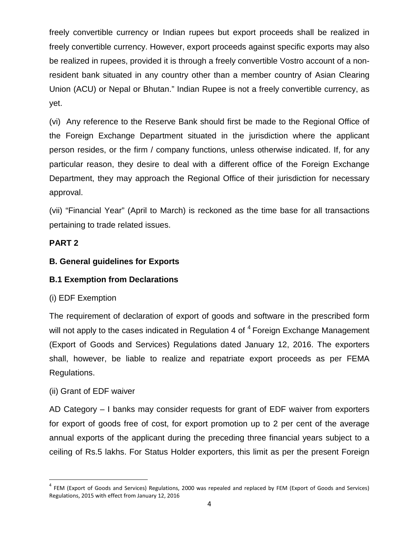freely convertible currency or Indian rupees but export proceeds shall be realized in freely convertible currency. However, export proceeds against specific exports may also be realized in rupees, provided it is through a freely convertible Vostro account of a nonresident bank situated in any country other than a member country of Asian Clearing Union (ACU) or Nepal or Bhutan." Indian Rupee is not a freely convertible currency, as yet.

(vi) Any reference to the Reserve Bank should first be made to the Regional Office of the Foreign Exchange Department situated in the jurisdiction where the applicant person resides, or the firm / company functions, unless otherwise indicated. If, for any particular reason, they desire to deal with a different office of the Foreign Exchange Department, they may approach the Regional Office of their jurisdiction for necessary approval.

(vii) "Financial Year" (April to March) is reckoned as the time base for all transactions pertaining to trade related issues.

# **PART 2**

# **B. General guidelines for Exports**

# **B.1 Exemption from Declarations**

# (i) EDF Exemption

The requirement of declaration of export of goods and software in the prescribed form will not apply to the cases indicated in Regulation [4](#page-4-0) of <sup>4</sup> Foreign Exchange Management (Export of Goods and Services) Regulations dated January 12, 2016. The exporters shall, however, be liable to realize and repatriate export proceeds as per FEMA Regulations.

# (ii) Grant of EDF waiver

 $\overline{\phantom{a}}$ 

AD Category – I banks may consider requests for grant of EDF waiver from exporters for export of goods free of cost, for export promotion up to 2 per cent of the average annual exports of the applicant during the preceding three financial years subject to a ceiling of Rs.5 lakhs. For Status Holder exporters, this limit as per the present Foreign

<span id="page-4-0"></span> $4$  FEM (Export of Goods and Services) Regulations, 2000 was repealed and replaced by FEM (Export of Goods and Services) Regulations, 2015 with effect from January 12, 2016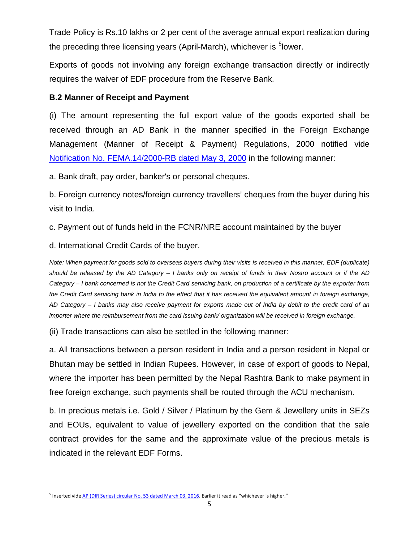Trade Policy is Rs.10 lakhs or 2 per cent of the average annual export realization during the preceding three licensing years (April-March), whichever is <sup>[5](#page-5-0)</sup>lower.

Exports of goods not involving any foreign exchange transaction directly or indirectly requires the waiver of EDF procedure from the Reserve Bank.

### **B.2 Manner of Receipt and Payment**

(i) The amount representing the full export value of the goods exported shall be received through an AD Bank in the manner specified in the Foreign Exchange Management (Manner of Receipt & Payment) Regulations, 2000 notified vide [Notification No. FEMA.14/2000-RB dated May 3, 2000](https://rbi.org.in/Scripts/BS_FemaNotifications.aspx?Id=168) in the following manner:

a. Bank draft, pay order, banker's or personal cheques.

b. Foreign currency notes/foreign currency travellers' cheques from the buyer during his visit to India.

c. Payment out of funds held in the FCNR/NRE account maintained by the buyer

d. International Credit Cards of the buyer.

*Note: When payment for goods sold to overseas buyers during their visits is received in this manner, EDF (duplicate) should be released by the AD Category – I banks only on receipt of funds in their Nostro account or if the AD Category – I bank concerned is not the Credit Card servicing bank, on production of a certificate by the exporter from the Credit Card servicing bank in India to the effect that it has received the equivalent amount in foreign exchange, AD Category – I banks may also receive payment for exports made out of India by debit to the credit card of an importer where the reimbursement from the card issuing bank/ organization will be received in foreign exchange.*

(ii) Trade transactions can also be settled in the following manner:

a. All transactions between a person resident in India and a person resident in Nepal or Bhutan may be settled in Indian Rupees. However, in case of export of goods to Nepal, where the importer has been permitted by the Nepal Rashtra Bank to make payment in free foreign exchange, such payments shall be routed through the ACU mechanism.

b. In precious metals i.e. Gold / Silver / Platinum by the Gem & Jewellery units in SEZs and EOUs, equivalent to value of jewellery exported on the condition that the sale contract provides for the same and the approximate value of the precious metals is indicated in the relevant EDF Forms.

<span id="page-5-0"></span><sup>&</sup>lt;sup>5</sup> Inserted vid[e AP \(DIR Series\) circular No. 53 dated March 03, 2016.](https://rbi.org.in/Scripts/NotificationUser.aspx?Id=10297&Mode=0) Earlier it read as "whichever is higher."  $\overline{\phantom{a}}$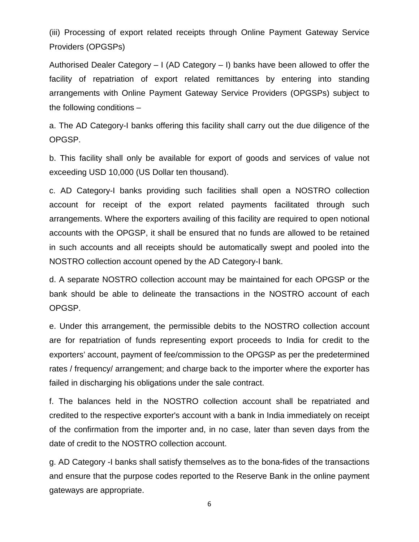(iii) Processing of export related receipts through Online Payment Gateway Service Providers (OPGSPs)

Authorised Dealer Category – I (AD Category – I) banks have been allowed to offer the facility of repatriation of export related remittances by entering into standing arrangements with Online Payment Gateway Service Providers (OPGSPs) subject to the following conditions –

a. The AD Category-I banks offering this facility shall carry out the due diligence of the OPGSP.

b. This facility shall only be available for export of goods and services of value not exceeding USD 10,000 (US Dollar ten thousand).

c. AD Category-I banks providing such facilities shall open a NOSTRO collection account for receipt of the export related payments facilitated through such arrangements. Where the exporters availing of this facility are required to open notional accounts with the OPGSP, it shall be ensured that no funds are allowed to be retained in such accounts and all receipts should be automatically swept and pooled into the NOSTRO collection account opened by the AD Category-I bank.

d. A separate NOSTRO collection account may be maintained for each OPGSP or the bank should be able to delineate the transactions in the NOSTRO account of each OPGSP.

e. Under this arrangement, the permissible debits to the NOSTRO collection account are for repatriation of funds representing export proceeds to India for credit to the exporters' account, payment of fee/commission to the OPGSP as per the predetermined rates / frequency/ arrangement; and charge back to the importer where the exporter has failed in discharging his obligations under the sale contract.

f. The balances held in the NOSTRO collection account shall be repatriated and credited to the respective exporter's account with a bank in India immediately on receipt of the confirmation from the importer and, in no case, later than seven days from the date of credit to the NOSTRO collection account.

g. AD Category -I banks shall satisfy themselves as to the bona-fides of the transactions and ensure that the purpose codes reported to the Reserve Bank in the online payment gateways are appropriate.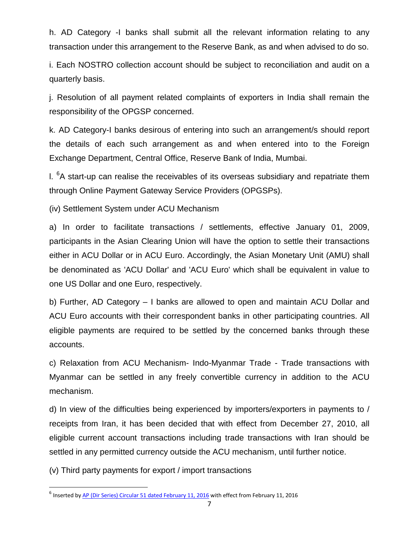h. AD Category -I banks shall submit all the relevant information relating to any transaction under this arrangement to the Reserve Bank, as and when advised to do so.

i. Each NOSTRO collection account should be subject to reconciliation and audit on a quarterly basis.

j. Resolution of all payment related complaints of exporters in India shall remain the responsibility of the OPGSP concerned.

k. AD Category-I banks desirous of entering into such an arrangement/s should report the details of each such arrangement as and when entered into to the Foreign Exchange Department, Central Office, Reserve Bank of India, Mumbai.

I. <sup>[6](#page-7-0)</sup>A start-up can realise the receivables of its overseas subsidiary and repatriate them through Online Payment Gateway Service Providers (OPGSPs).

(iv) Settlement System under ACU Mechanism

a) In order to facilitate transactions / settlements, effective January 01, 2009, participants in the Asian Clearing Union will have the option to settle their transactions either in ACU Dollar or in ACU Euro. Accordingly, the Asian Monetary Unit (AMU) shall be denominated as 'ACU Dollar' and 'ACU Euro' which shall be equivalent in value to one US Dollar and one Euro, respectively.

b) Further, AD Category – I banks are allowed to open and maintain ACU Dollar and ACU Euro accounts with their correspondent banks in other participating countries. All eligible payments are required to be settled by the concerned banks through these accounts.

c) Relaxation from ACU Mechanism- Indo-Myanmar Trade - Trade transactions with Myanmar can be settled in any freely convertible currency in addition to the ACU mechanism.

d) In view of the difficulties being experienced by importers/exporters in payments to / receipts from Iran, it has been decided that with effect from December 27, 2010, all eligible current account transactions including trade transactions with Iran should be settled in any permitted currency outside the ACU mechanism, until further notice.

(v) Third party payments for export / import transactions

l

<span id="page-7-0"></span><sup>&</sup>lt;sup>6</sup> Inserted by [AP \(Dir Series\) Circular 51 dated February 11, 2016](https://rbi.org.in/Scripts/NotificationUser.aspx?Id=10277&Mode=0) with effect from February 11, 2016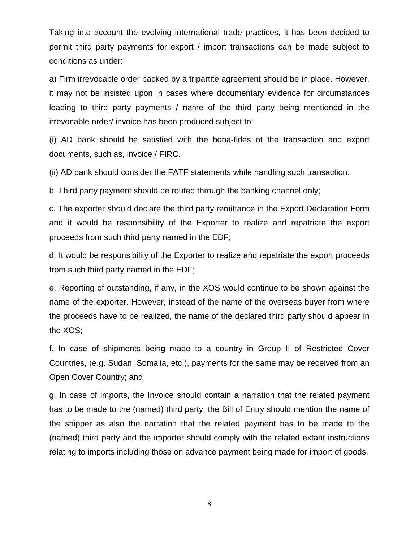Taking into account the evolving international trade practices, it has been decided to permit third party payments for export / import transactions can be made subject to conditions as under:

a) Firm irrevocable order backed by a tripartite agreement should be in place. However, it may not be insisted upon in cases where documentary evidence for circumstances leading to third party payments / name of the third party being mentioned in the irrevocable order/ invoice has been produced subject to:

(i) AD bank should be satisfied with the bona-fides of the transaction and export documents, such as, invoice / FIRC.

(ii) AD bank should consider the FATF statements while handling such transaction.

b. Third party payment should be routed through the banking channel only;

c. The exporter should declare the third party remittance in the Export Declaration Form and it would be responsibility of the Exporter to realize and repatriate the export proceeds from such third party named in the EDF;

d. It would be responsibility of the Exporter to realize and repatriate the export proceeds from such third party named in the EDF;

e. Reporting of outstanding, if any, in the XOS would continue to be shown against the name of the exporter. However, instead of the name of the overseas buyer from where the proceeds have to be realized, the name of the declared third party should appear in the XOS;

f. In case of shipments being made to a country in Group II of Restricted Cover Countries, (e.g. Sudan, Somalia, etc.), payments for the same may be received from an Open Cover Country; and

g. In case of imports, the Invoice should contain a narration that the related payment has to be made to the (named) third party, the Bill of Entry should mention the name of the shipper as also the narration that the related payment has to be made to the (named) third party and the importer should comply with the related extant instructions relating to imports including those on advance payment being made for import of goods.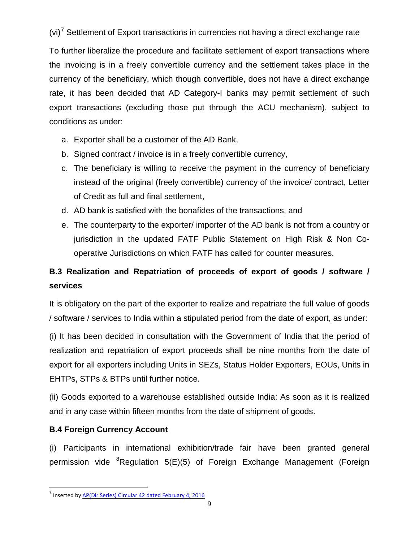$(vi)^7$  $(vi)^7$  Settlement of Export transactions in currencies not having a direct exchange rate

To further liberalize the procedure and facilitate settlement of export transactions where the invoicing is in a freely convertible currency and the settlement takes place in the currency of the beneficiary, which though convertible, does not have a direct exchange rate, it has been decided that AD Category-I banks may permit settlement of such export transactions (excluding those put through the ACU mechanism), subject to conditions as under:

- a. Exporter shall be a customer of the AD Bank,
- b. Signed contract / invoice is in a freely convertible currency,
- c. The beneficiary is willing to receive the payment in the currency of beneficiary instead of the original (freely convertible) currency of the invoice/ contract, Letter of Credit as full and final settlement,
- d. AD bank is satisfied with the bonafides of the transactions, and
- e. The counterparty to the exporter/ importer of the AD bank is not from a country or jurisdiction in the updated FATF Public Statement on High Risk & Non Cooperative Jurisdictions on which FATF has called for counter measures.

# **B.3 Realization and Repatriation of proceeds of export of goods / software / services**

It is obligatory on the part of the exporter to realize and repatriate the full value of goods / software / services to India within a stipulated period from the date of export, as under:

(i) It has been decided in consultation with the Government of India that the period of realization and repatriation of export proceeds shall be nine months from the date of export for all exporters including Units in SEZs, Status Holder Exporters, EOUs, Units in EHTPs, STPs & BTPs until further notice.

(ii) Goods exported to a warehouse established outside India: As soon as it is realized and in any case within fifteen months from the date of shipment of goods.

# **B.4 Foreign Currency Account**

l

<span id="page-9-1"></span>(i) Participants in international exhibition/trade fair have been granted general permission vide <sup>[8](#page-9-1)</sup>Regulation 5(E)(5) of Foreign Exchange Management (Foreign

<span id="page-9-0"></span><sup>7</sup> Inserted by [AP\(Dir Series\) Circular 42 dated February 4, 2016](https://rbi.org.in/Scripts/NotificationUser.aspx?Id=10263&Mode=0)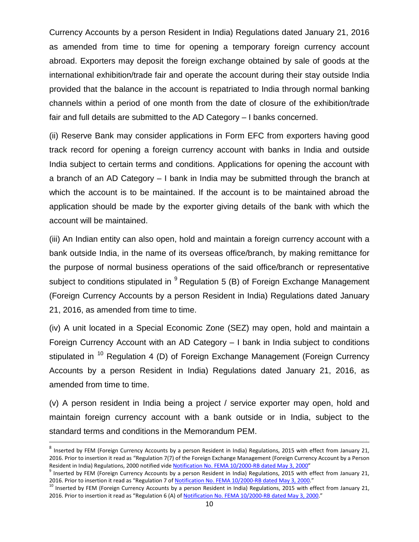Currency Accounts by a person Resident in India) Regulations dated January 21, 2016 as amended from time to time for opening a temporary foreign currency account abroad. Exporters may deposit the foreign exchange obtained by sale of goods at the international exhibition/trade fair and operate the account during their stay outside India provided that the balance in the account is repatriated to India through normal banking channels within a period of one month from the date of closure of the exhibition/trade fair and full details are submitted to the AD Category – I banks concerned.

(ii) Reserve Bank may consider applications in Form EFC from exporters having good track record for opening a foreign currency account with banks in India and outside India subject to certain terms and conditions. Applications for opening the account with a branch of an AD Category – I bank in India may be submitted through the branch at which the account is to be maintained. If the account is to be maintained abroad the application should be made by the exporter giving details of the bank with which the account will be maintained.

(iii) An Indian entity can also open, hold and maintain a foreign currency account with a bank outside India, in the name of its overseas office/branch, by making remittance for the purpose of normal business operations of the said office/branch or representative subject to conditions stipulated in  $9$  Regulation 5 (B) of Foreign Exchange Management (Foreign Currency Accounts by a person Resident in India) Regulations dated January 21, 2016, as amended from time to time.

(iv) A unit located in a Special Economic Zone (SEZ) may open, hold and maintain a Foreign Currency Account with an AD Category – I bank in India subject to conditions stipulated in  $10$  Regulation 4 (D) of Foreign Exchange Management (Foreign Currency Accounts by a person Resident in India) Regulations dated January 21, 2016, as amended from time to time.

(v) A person resident in India being a project / service exporter may open, hold and maintain foreign currency account with a bank outside or in India, subject to the standard terms and conditions in the Memorandum PEM.

l

<sup>8</sup> Inserted by FEM (Foreign Currency Accounts by a person Resident in India) Regulations, 2015 with effect from January 21, 2016. Prior to insertion it read as "Regulation 7(7) of the Foreign Exchange Management (Foreign Currency Account by a Person Resident in India) Regulations, 2000 notified vide [Notification No. FEMA 10/2000-RB dated May 3, 2000"](https://rbi.org.in/Scripts/BS_FemaNotifications.aspx?Id=164)<br><sup>9</sup> Inserted by FEM (Foreign Currency Accounts by a person Resident in India) Regulations, 2015 with effect from Januar

<span id="page-10-0"></span><sup>2016.</sup> Prior to insertion it read as "Regulation 7 o[f Notification No. FEMA 10/2000-RB dated May 3, 2000.](https://rbi.org.in/Scripts/BS_FemaNotifications.aspx?Id=164)"<br><sup>10</sup> Inserted by FEM (Foreign Currency Accounts by a person Resident in India) Regulations, 2015 with effect from Ja

<span id="page-10-1"></span><sup>2016.</sup> Prior to insertion it read as "Regulation 6 (A) o[f Notification No. FEMA 10/2000-RB dated May 3, 2000."](https://rbi.org.in/Scripts/BS_FemaNotifications.aspx?Id=164)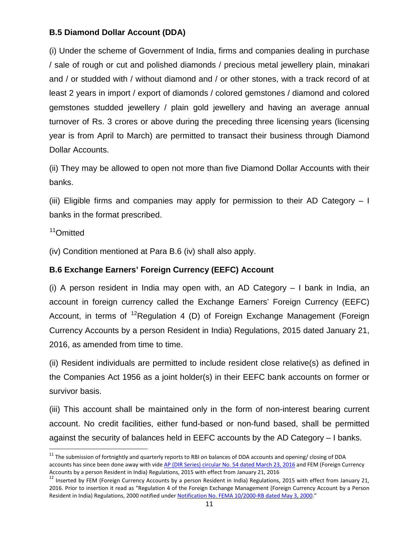# **B.5 Diamond Dollar Account (DDA)**

(i) Under the scheme of Government of India, firms and companies dealing in purchase / sale of rough or cut and polished diamonds / precious metal jewellery plain, minakari and / or studded with / without diamond and / or other stones, with a track record of at least 2 years in import / export of diamonds / colored gemstones / diamond and colored gemstones studded jewellery / plain gold jewellery and having an average annual turnover of Rs. 3 crores or above during the preceding three licensing years (licensing year is from April to March) are permitted to transact their business through Diamond Dollar Accounts.

(ii) They may be allowed to open not more than five Diamond Dollar Accounts with their banks.

(iii) Eligible firms and companies may apply for permission to their AD Category  $-1$ banks in the format prescribed.

[11](#page-11-0)Omitted

 $\overline{\phantom{a}}$ 

(iv) Condition mentioned at Para B.6 (iv) shall also apply.

# **B.6 Exchange Earners' Foreign Currency (EEFC) Account**

(i) A person resident in India may open with, an AD Category – I bank in India, an account in foreign currency called the Exchange Earners' Foreign Currency (EEFC) Account, in terms of  $12$ Regulation 4 (D) of Foreign Exchange Management (Foreign Currency Accounts by a person Resident in India) Regulations, 2015 dated January 21, 2016, as amended from time to time.

(ii) Resident individuals are permitted to include resident close relative(s) as defined in the Companies Act 1956 as a joint holder(s) in their EEFC bank accounts on former or survivor basis.

(iii) This account shall be maintained only in the form of non-interest bearing current account. No credit facilities, either fund-based or non-fund based, shall be permitted against the security of balances held in EEFC accounts by the AD Category – I banks.

<span id="page-11-0"></span> $11$  The submission of fortnightly and quarterly reports to RBI on balances of DDA accounts and opening/ closing of DDA accounts has since been done away with vide [AP \(DIR Series\) circular No. 54 dated March 23, 2016](https://www.rbi.org.in/Scripts/NotificationUser.aspx?Id=10311&Mode=0) and FEM (Foreign Currency Accounts by a person Resident in India) Regulations, 2015 with effect from January 21, 2016<br><sup>12</sup> Inserted by FEM (Foreign Currency Accounts by a person Resident in India) Regulations, 2015 with effect from January 21,

<span id="page-11-1"></span><sup>2016.</sup> Prior to insertion it read as "Regulation 4 of the Foreign Exchange Management (Foreign Currency Account by a Person Resident in India) Regulations, 2000 notified unde[r Notification No. FEMA 10/2000-RB dated May](https://rbi.org.in/Scripts/BS_FemaNotifications.aspx?Id=164) 3, 2000."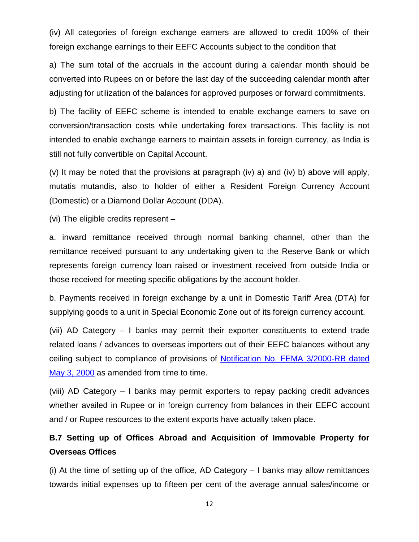(iv) All categories of foreign exchange earners are allowed to credit 100% of their foreign exchange earnings to their EEFC Accounts subject to the condition that

a) The sum total of the accruals in the account during a calendar month should be converted into Rupees on or before the last day of the succeeding calendar month after adjusting for utilization of the balances for approved purposes or forward commitments.

b) The facility of EEFC scheme is intended to enable exchange earners to save on conversion/transaction costs while undertaking forex transactions. This facility is not intended to enable exchange earners to maintain assets in foreign currency, as India is still not fully convertible on Capital Account.

(v) It may be noted that the provisions at paragraph (iv) a) and (iv) b) above will apply, mutatis mutandis, also to holder of either a Resident Foreign Currency Account (Domestic) or a Diamond Dollar Account (DDA).

(vi) The eligible credits represent –

a. inward remittance received through normal banking channel, other than the remittance received pursuant to any undertaking given to the Reserve Bank or which represents foreign currency loan raised or investment received from outside India or those received for meeting specific obligations by the account holder.

b. Payments received in foreign exchange by a unit in Domestic Tariff Area (DTA) for supplying goods to a unit in Special Economic Zone out of its foreign currency account.

(vii) AD Category – I banks may permit their exporter constituents to extend trade related loans / advances to overseas importers out of their EEFC balances without any ceiling subject to compliance of provisions of [Notification No. FEMA 3/2000-RB dated](https://rbi.org.in/Scripts/BS_FemaNotifications.aspx?Id=157)  [May 3, 2000](https://rbi.org.in/Scripts/BS_FemaNotifications.aspx?Id=157) as amended from time to time.

(viii) AD Category – I banks may permit exporters to repay packing credit advances whether availed in Rupee or in foreign currency from balances in their EEFC account and / or Rupee resources to the extent exports have actually taken place.

# **B.7 Setting up of Offices Abroad and Acquisition of Immovable Property for Overseas Offices**

(i) At the time of setting up of the office, AD Category – I banks may allow remittances towards initial expenses up to fifteen per cent of the average annual sales/income or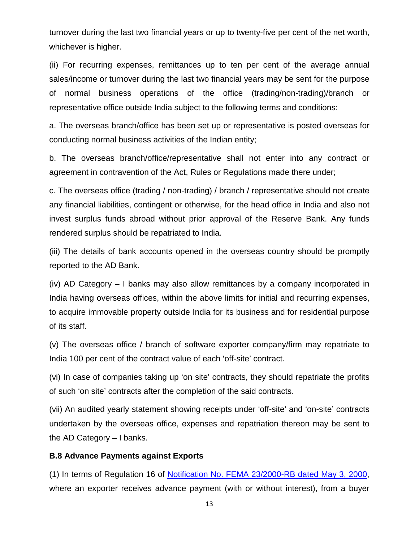turnover during the last two financial years or up to twenty-five per cent of the net worth, whichever is higher.

(ii) For recurring expenses, remittances up to ten per cent of the average annual sales/income or turnover during the last two financial years may be sent for the purpose of normal business operations of the office (trading/non-trading)/branch or representative office outside India subject to the following terms and conditions:

a. The overseas branch/office has been set up or representative is posted overseas for conducting normal business activities of the Indian entity;

b. The overseas branch/office/representative shall not enter into any contract or agreement in contravention of the Act, Rules or Regulations made there under;

c. The overseas office (trading / non-trading) / branch / representative should not create any financial liabilities, contingent or otherwise, for the head office in India and also not invest surplus funds abroad without prior approval of the Reserve Bank. Any funds rendered surplus should be repatriated to India.

(iii) The details of bank accounts opened in the overseas country should be promptly reported to the AD Bank.

(iv) AD Category – I banks may also allow remittances by a company incorporated in India having overseas offices, within the above limits for initial and recurring expenses, to acquire immovable property outside India for its business and for residential purpose of its staff.

(v) The overseas office / branch of software exporter company/firm may repatriate to India 100 per cent of the contract value of each 'off-site' contract.

(vi) In case of companies taking up 'on site' contracts, they should repatriate the profits of such 'on site' contracts after the completion of the said contracts.

(vii) An audited yearly statement showing receipts under 'off-site' and 'on-site' contracts undertaken by the overseas office, expenses and repatriation thereon may be sent to the AD Category – I banks.

### **B.8 Advance Payments against Exports**

(1) In terms of Regulation 16 of [Notification No. FEMA 23/2000-RB dated May 3, 2000,](https://rbi.org.in/Scripts/BS_FemaNotifications.aspx?Id=177) where an exporter receives advance payment (with or without interest), from a buyer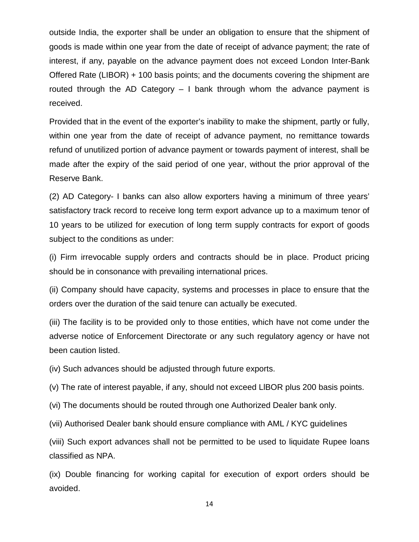outside India, the exporter shall be under an obligation to ensure that the shipment of goods is made within one year from the date of receipt of advance payment; the rate of interest, if any, payable on the advance payment does not exceed London Inter-Bank Offered Rate (LIBOR) + 100 basis points; and the documents covering the shipment are routed through the AD Category  $-1$  bank through whom the advance payment is received.

Provided that in the event of the exporter's inability to make the shipment, partly or fully, within one year from the date of receipt of advance payment, no remittance towards refund of unutilized portion of advance payment or towards payment of interest, shall be made after the expiry of the said period of one year, without the prior approval of the Reserve Bank.

(2) AD Category- I banks can also allow exporters having a minimum of three years' satisfactory track record to receive long term export advance up to a maximum tenor of 10 years to be utilized for execution of long term supply contracts for export of goods subject to the conditions as under:

(i) Firm irrevocable supply orders and contracts should be in place. Product pricing should be in consonance with prevailing international prices.

(ii) Company should have capacity, systems and processes in place to ensure that the orders over the duration of the said tenure can actually be executed.

(iii) The facility is to be provided only to those entities, which have not come under the adverse notice of Enforcement Directorate or any such regulatory agency or have not been caution listed.

(iv) Such advances should be adjusted through future exports.

(v) The rate of interest payable, if any, should not exceed LlBOR plus 200 basis points.

(vi) The documents should be routed through one Authorized Dealer bank only.

(vii) Authorised Dealer bank should ensure compliance with AML / KYC guidelines

(viii) Such export advances shall not be permitted to be used to liquidate Rupee loans classified as NPA.

(ix) Double financing for working capital for execution of export orders should be avoided.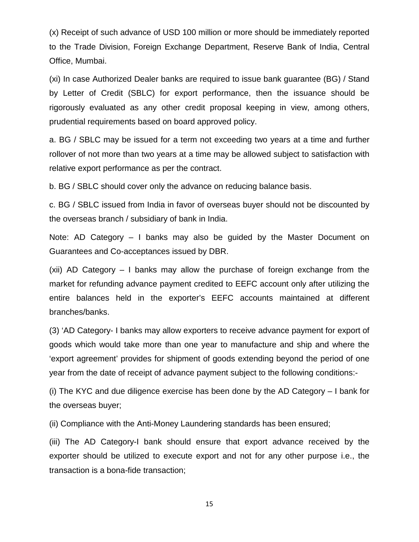(x) Receipt of such advance of USD 100 million or more should be immediately reported to the Trade Division, Foreign Exchange Department, Reserve Bank of India, Central Office, Mumbai.

(xi) In case Authorized Dealer banks are required to issue bank guarantee (BG) / Stand by Letter of Credit (SBLC) for export performance, then the issuance should be rigorously evaluated as any other credit proposal keeping in view, among others, prudential requirements based on board approved policy.

a. BG / SBLC may be issued for a term not exceeding two years at a time and further rollover of not more than two years at a time may be allowed subject to satisfaction with relative export performance as per the contract.

b. BG / SBLC should cover only the advance on reducing balance basis.

c. BG / SBLC issued from India in favor of overseas buyer should not be discounted by the overseas branch / subsidiary of bank in India.

Note: AD Category – I banks may also be guided by the Master Document on Guarantees and Co-acceptances issued by DBR.

(xii) AD Category – I banks may allow the purchase of foreign exchange from the market for refunding advance payment credited to EEFC account only after utilizing the entire balances held in the exporter's EEFC accounts maintained at different branches/banks.

(3) 'AD Category- I banks may allow exporters to receive advance payment for export of goods which would take more than one year to manufacture and ship and where the 'export agreement' provides for shipment of goods extending beyond the period of one year from the date of receipt of advance payment subject to the following conditions:-

(i) The KYC and due diligence exercise has been done by the AD Category – I bank for the overseas buyer;

(ii) Compliance with the Anti-Money Laundering standards has been ensured;

(iii) The AD Category-I bank should ensure that export advance received by the exporter should be utilized to execute export and not for any other purpose i.e., the transaction is a bona-fide transaction;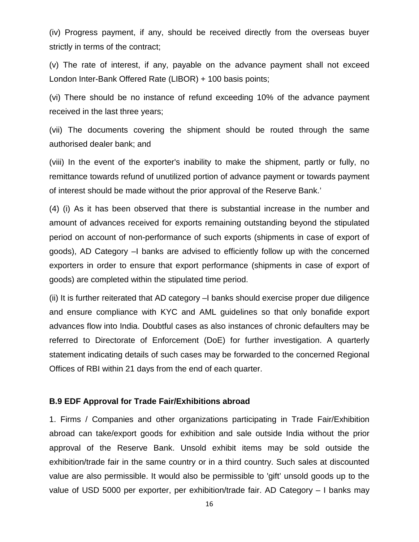(iv) Progress payment, if any, should be received directly from the overseas buyer strictly in terms of the contract;

(v) The rate of interest, if any, payable on the advance payment shall not exceed London Inter-Bank Offered Rate (LIBOR) + 100 basis points;

(vi) There should be no instance of refund exceeding 10% of the advance payment received in the last three years;

(vii) The documents covering the shipment should be routed through the same authorised dealer bank; and

(viii) In the event of the exporter's inability to make the shipment, partly or fully, no remittance towards refund of unutilized portion of advance payment or towards payment of interest should be made without the prior approval of the Reserve Bank.'

(4) (i) As it has been observed that there is substantial increase in the number and amount of advances received for exports remaining outstanding beyond the stipulated period on account of non-performance of such exports (shipments in case of export of goods), AD Category –I banks are advised to efficiently follow up with the concerned exporters in order to ensure that export performance (shipments in case of export of goods) are completed within the stipulated time period.

(ii) It is further reiterated that AD category –I banks should exercise proper due diligence and ensure compliance with KYC and AML guidelines so that only bonafide export advances flow into India. Doubtful cases as also instances of chronic defaulters may be referred to Directorate of Enforcement (DoE) for further investigation. A quarterly statement indicating details of such cases may be forwarded to the concerned Regional Offices of RBI within 21 days from the end of each quarter.

#### **B.9 EDF Approval for Trade Fair/Exhibitions abroad**

1. Firms / Companies and other organizations participating in Trade Fair/Exhibition abroad can take/export goods for exhibition and sale outside India without the prior approval of the Reserve Bank. Unsold exhibit items may be sold outside the exhibition/trade fair in the same country or in a third country. Such sales at discounted value are also permissible. It would also be permissible to 'gift' unsold goods up to the value of USD 5000 per exporter, per exhibition/trade fair. AD Category – I banks may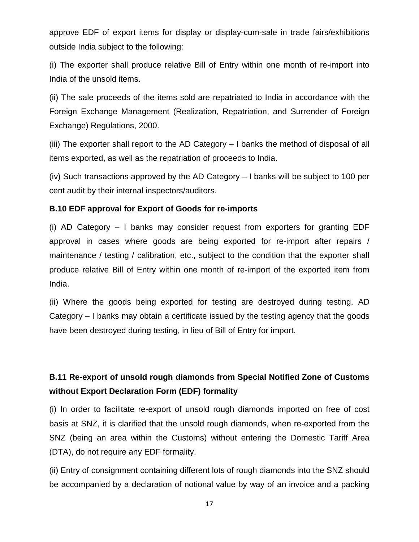approve EDF of export items for display or display-cum-sale in trade fairs/exhibitions outside India subject to the following:

(i) The exporter shall produce relative Bill of Entry within one month of re-import into India of the unsold items.

(ii) The sale proceeds of the items sold are repatriated to India in accordance with the Foreign Exchange Management (Realization, Repatriation, and Surrender of Foreign Exchange) Regulations, 2000.

(iii) The exporter shall report to the AD Category – I banks the method of disposal of all items exported, as well as the repatriation of proceeds to India.

(iv) Such transactions approved by the AD Category – I banks will be subject to 100 per cent audit by their internal inspectors/auditors.

# **B.10 EDF approval for Export of Goods for re-imports**

(i) AD Category – I banks may consider request from exporters for granting EDF approval in cases where goods are being exported for re-import after repairs / maintenance / testing / calibration, etc., subject to the condition that the exporter shall produce relative Bill of Entry within one month of re-import of the exported item from India.

(ii) Where the goods being exported for testing are destroyed during testing, AD Category – I banks may obtain a certificate issued by the testing agency that the goods have been destroyed during testing, in lieu of Bill of Entry for import.

# **B.11 Re-export of unsold rough diamonds from Special Notified Zone of Customs without Export Declaration Form (EDF) formality**

(i) In order to facilitate re-export of unsold rough diamonds imported on free of cost basis at SNZ, it is clarified that the unsold rough diamonds, when re-exported from the SNZ (being an area within the Customs) without entering the Domestic Tariff Area (DTA), do not require any EDF formality.

(ii) Entry of consignment containing different lots of rough diamonds into the SNZ should be accompanied by a declaration of notional value by way of an invoice and a packing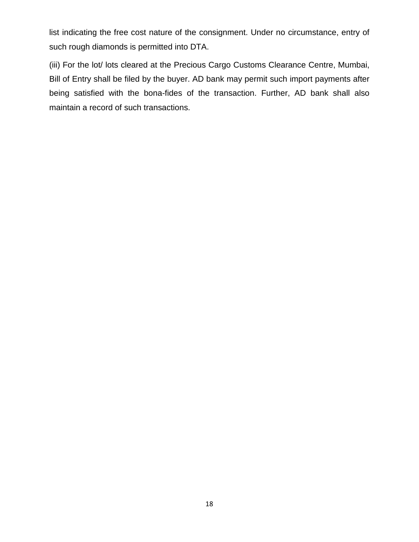list indicating the free cost nature of the consignment. Under no circumstance, entry of such rough diamonds is permitted into DTA.

(iii) For the lot/ lots cleared at the Precious Cargo Customs Clearance Centre, Mumbai, Bill of Entry shall be filed by the buyer. AD bank may permit such import payments after being satisfied with the bona-fides of the transaction. Further, AD bank shall also maintain a record of such transactions.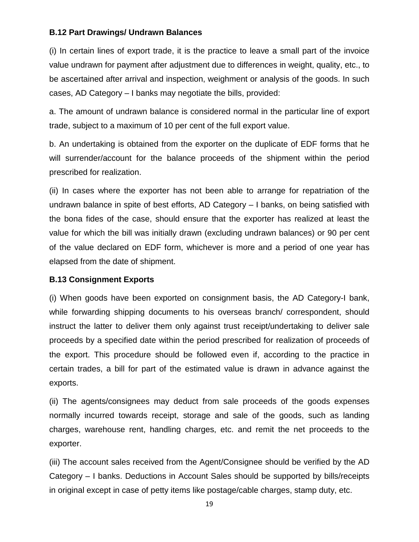### **B.12 Part Drawings/ Undrawn Balances**

(i) In certain lines of export trade, it is the practice to leave a small part of the invoice value undrawn for payment after adjustment due to differences in weight, quality, etc., to be ascertained after arrival and inspection, weighment or analysis of the goods. In such cases, AD Category – I banks may negotiate the bills, provided:

a. The amount of undrawn balance is considered normal in the particular line of export trade, subject to a maximum of 10 per cent of the full export value.

b. An undertaking is obtained from the exporter on the duplicate of EDF forms that he will surrender/account for the balance proceeds of the shipment within the period prescribed for realization.

(ii) In cases where the exporter has not been able to arrange for repatriation of the undrawn balance in spite of best efforts, AD Category – I banks, on being satisfied with the bona fides of the case, should ensure that the exporter has realized at least the value for which the bill was initially drawn (excluding undrawn balances) or 90 per cent of the value declared on EDF form, whichever is more and a period of one year has elapsed from the date of shipment.

### **B.13 Consignment Exports**

(i) When goods have been exported on consignment basis, the AD Category-I bank, while forwarding shipping documents to his overseas branch/ correspondent, should instruct the latter to deliver them only against trust receipt/undertaking to deliver sale proceeds by a specified date within the period prescribed for realization of proceeds of the export. This procedure should be followed even if, according to the practice in certain trades, a bill for part of the estimated value is drawn in advance against the exports.

(ii) The agents/consignees may deduct from sale proceeds of the goods expenses normally incurred towards receipt, storage and sale of the goods, such as landing charges, warehouse rent, handling charges, etc. and remit the net proceeds to the exporter.

(iii) The account sales received from the Agent/Consignee should be verified by the AD Category – I banks. Deductions in Account Sales should be supported by bills/receipts in original except in case of petty items like postage/cable charges, stamp duty, etc.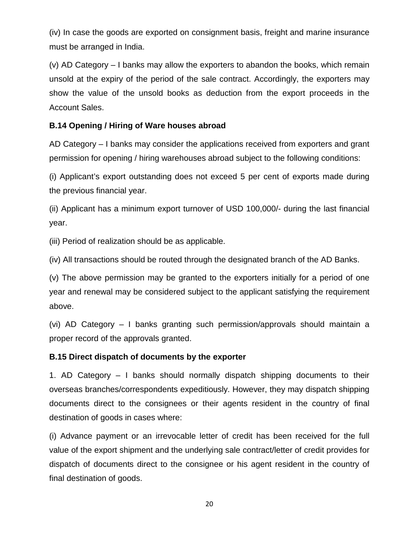(iv) In case the goods are exported on consignment basis, freight and marine insurance must be arranged in India.

(v) AD Category – I banks may allow the exporters to abandon the books, which remain unsold at the expiry of the period of the sale contract. Accordingly, the exporters may show the value of the unsold books as deduction from the export proceeds in the Account Sales.

# **B.14 Opening / Hiring of Ware houses abroad**

AD Category – I banks may consider the applications received from exporters and grant permission for opening / hiring warehouses abroad subject to the following conditions:

(i) Applicant's export outstanding does not exceed 5 per cent of exports made during the previous financial year.

(ii) Applicant has a minimum export turnover of USD 100,000/- during the last financial year.

(iii) Period of realization should be as applicable.

(iv) All transactions should be routed through the designated branch of the AD Banks.

(v) The above permission may be granted to the exporters initially for a period of one year and renewal may be considered subject to the applicant satisfying the requirement above.

(vi) AD Category – I banks granting such permission/approvals should maintain a proper record of the approvals granted.

# **B.15 Direct dispatch of documents by the exporter**

1. AD Category – I banks should normally dispatch shipping documents to their overseas branches/correspondents expeditiously. However, they may dispatch shipping documents direct to the consignees or their agents resident in the country of final destination of goods in cases where:

(i) Advance payment or an irrevocable letter of credit has been received for the full value of the export shipment and the underlying sale contract/letter of credit provides for dispatch of documents direct to the consignee or his agent resident in the country of final destination of goods.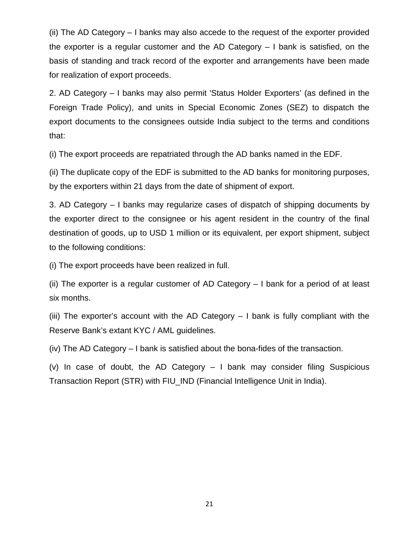(ii) The AD Category – I banks may also accede to the request of the exporter provided the exporter is a regular customer and the AD Category – I bank is satisfied, on the basis of standing and track record of the exporter and arrangements have been made for realization of export proceeds.

2. AD Category – I banks may also permit 'Status Holder Exporters' (as defined in the Foreign Trade Policy), and units in Special Economic Zones (SEZ) to dispatch the export documents to the consignees outside India subject to the terms and conditions that:

(i) The export proceeds are repatriated through the AD banks named in the EDF.

(ii) The duplicate copy of the EDF is submitted to the AD banks for monitoring purposes, by the exporters within 21 days from the date of shipment of export.

3. AD Category – I banks may regularize cases of dispatch of shipping documents by the exporter direct to the consignee or his agent resident in the country of the final destination of goods, up to USD 1 million or its equivalent, per export shipment, subject to the following conditions:

(i) The export proceeds have been realized in full.

(ii) The exporter is a regular customer of AD Category – I bank for a period of at least six months.

(iii) The exporter's account with the AD Category – I bank is fully compliant with the Reserve Bank's extant KYC / AML guidelines.

(iv) The AD Category – I bank is satisfied about the bona-fides of the transaction.

(v) In case of doubt, the AD Category – I bank may consider filing Suspicious Transaction Report (STR) with FIU\_IND (Financial Intelligence Unit in India).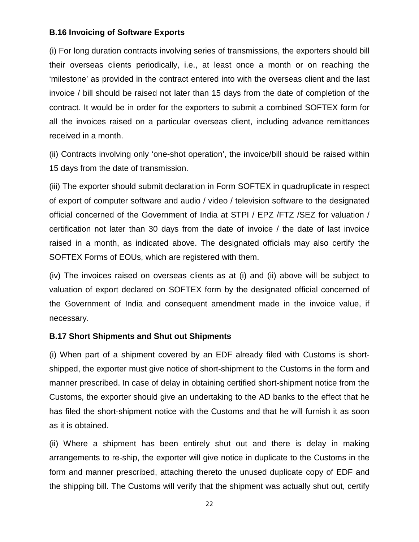### **B.16 Invoicing of Software Exports**

(i) For long duration contracts involving series of transmissions, the exporters should bill their overseas clients periodically, i.e., at least once a month or on reaching the 'milestone' as provided in the contract entered into with the overseas client and the last invoice / bill should be raised not later than 15 days from the date of completion of the contract. It would be in order for the exporters to submit a combined SOFTEX form for all the invoices raised on a particular overseas client, including advance remittances received in a month.

(ii) Contracts involving only 'one-shot operation', the invoice/bill should be raised within 15 days from the date of transmission.

(iii) The exporter should submit declaration in Form SOFTEX in quadruplicate in respect of export of computer software and audio / video / television software to the designated official concerned of the Government of India at STPI / EPZ /FTZ /SEZ for valuation / certification not later than 30 days from the date of invoice / the date of last invoice raised in a month, as indicated above. The designated officials may also certify the SOFTEX Forms of EOUs, which are registered with them.

(iv) The invoices raised on overseas clients as at (i) and (ii) above will be subject to valuation of export declared on SOFTEX form by the designated official concerned of the Government of India and consequent amendment made in the invoice value, if necessary.

### **B.17 Short Shipments and Shut out Shipments**

(i) When part of a shipment covered by an EDF already filed with Customs is shortshipped, the exporter must give notice of short-shipment to the Customs in the form and manner prescribed. In case of delay in obtaining certified short-shipment notice from the Customs, the exporter should give an undertaking to the AD banks to the effect that he has filed the short-shipment notice with the Customs and that he will furnish it as soon as it is obtained.

(ii) Where a shipment has been entirely shut out and there is delay in making arrangements to re-ship, the exporter will give notice in duplicate to the Customs in the form and manner prescribed, attaching thereto the unused duplicate copy of EDF and the shipping bill. The Customs will verify that the shipment was actually shut out, certify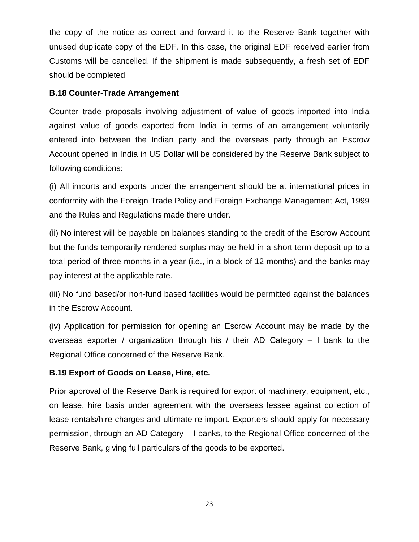the copy of the notice as correct and forward it to the Reserve Bank together with unused duplicate copy of the EDF. In this case, the original EDF received earlier from Customs will be cancelled. If the shipment is made subsequently, a fresh set of EDF should be completed

# **B.18 Counter-Trade Arrangement**

Counter trade proposals involving adjustment of value of goods imported into India against value of goods exported from India in terms of an arrangement voluntarily entered into between the Indian party and the overseas party through an Escrow Account opened in India in US Dollar will be considered by the Reserve Bank subject to following conditions:

(i) All imports and exports under the arrangement should be at international prices in conformity with the Foreign Trade Policy and Foreign Exchange Management Act, 1999 and the Rules and Regulations made there under.

(ii) No interest will be payable on balances standing to the credit of the Escrow Account but the funds temporarily rendered surplus may be held in a short-term deposit up to a total period of three months in a year (i.e., in a block of 12 months) and the banks may pay interest at the applicable rate.

(iii) No fund based/or non-fund based facilities would be permitted against the balances in the Escrow Account.

(iv) Application for permission for opening an Escrow Account may be made by the overseas exporter / organization through his / their AD Category – I bank to the Regional Office concerned of the Reserve Bank.

# **B.19 Export of Goods on Lease, Hire, etc.**

Prior approval of the Reserve Bank is required for export of machinery, equipment, etc., on lease, hire basis under agreement with the overseas lessee against collection of lease rentals/hire charges and ultimate re-import. Exporters should apply for necessary permission, through an AD Category – I banks, to the Regional Office concerned of the Reserve Bank, giving full particulars of the goods to be exported.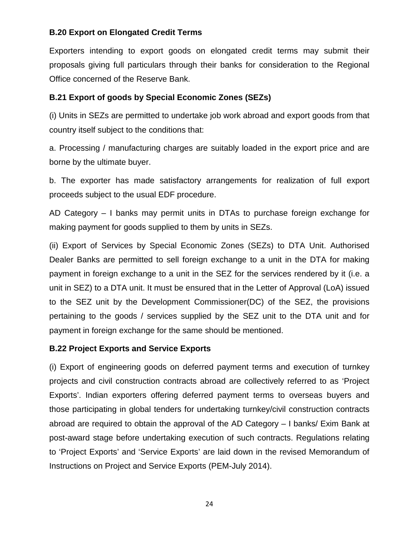# **B.20 Export on Elongated Credit Terms**

Exporters intending to export goods on elongated credit terms may submit their proposals giving full particulars through their banks for consideration to the Regional Office concerned of the Reserve Bank.

# **B.21 Export of goods by Special Economic Zones (SEZs)**

(i) Units in SEZs are permitted to undertake job work abroad and export goods from that country itself subject to the conditions that:

a. Processing / manufacturing charges are suitably loaded in the export price and are borne by the ultimate buyer.

b. The exporter has made satisfactory arrangements for realization of full export proceeds subject to the usual EDF procedure.

AD Category – I banks may permit units in DTAs to purchase foreign exchange for making payment for goods supplied to them by units in SEZs.

(ii) Export of Services by Special Economic Zones (SEZs) to DTA Unit. Authorised Dealer Banks are permitted to sell foreign exchange to a unit in the DTA for making payment in foreign exchange to a unit in the SEZ for the services rendered by it (i.e. a unit in SEZ) to a DTA unit. It must be ensured that in the Letter of Approval (LoA) issued to the SEZ unit by the Development Commissioner(DC) of the SEZ, the provisions pertaining to the goods / services supplied by the SEZ unit to the DTA unit and for payment in foreign exchange for the same should be mentioned.

# **B.22 Project Exports and Service Exports**

(i) Export of engineering goods on deferred payment terms and execution of turnkey projects and civil construction contracts abroad are collectively referred to as 'Project Exports'. Indian exporters offering deferred payment terms to overseas buyers and those participating in global tenders for undertaking turnkey/civil construction contracts abroad are required to obtain the approval of the AD Category – I banks/ Exim Bank at post-award stage before undertaking execution of such contracts. Regulations relating to 'Project Exports' and 'Service Exports' are laid down in the revised Memorandum of Instructions on Project and Service Exports (PEM-July 2014).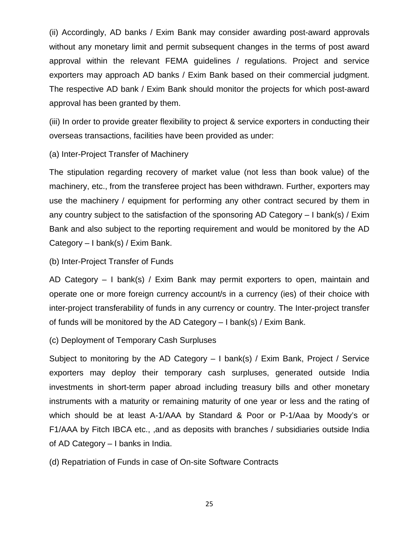(ii) Accordingly, AD banks / Exim Bank may consider awarding post-award approvals without any monetary limit and permit subsequent changes in the terms of post award approval within the relevant FEMA guidelines / regulations. Project and service exporters may approach AD banks / Exim Bank based on their commercial judgment. The respective AD bank / Exim Bank should monitor the projects for which post-award approval has been granted by them.

(iii) In order to provide greater flexibility to project & service exporters in conducting their overseas transactions, facilities have been provided as under:

(a) Inter-Project Transfer of Machinery

The stipulation regarding recovery of market value (not less than book value) of the machinery, etc., from the transferee project has been withdrawn. Further, exporters may use the machinery / equipment for performing any other contract secured by them in any country subject to the satisfaction of the sponsoring AD Category – I bank(s) / Exim Bank and also subject to the reporting requirement and would be monitored by the AD Category – I bank(s) / Exim Bank.

(b) Inter-Project Transfer of Funds

AD Category – I bank(s) / Exim Bank may permit exporters to open, maintain and operate one or more foreign currency account/s in a currency (ies) of their choice with inter-project transferability of funds in any currency or country. The Inter-project transfer of funds will be monitored by the AD Category – I bank(s) / Exim Bank.

(c) Deployment of Temporary Cash Surpluses

Subject to monitoring by the AD Category – I bank(s) / Exim Bank, Project / Service exporters may deploy their temporary cash surpluses, generated outside India investments in short-term paper abroad including treasury bills and other monetary instruments with a maturity or remaining maturity of one year or less and the rating of which should be at least A-1/AAA by Standard & Poor or P-1/Aaa by Moody's or F1/AAA by Fitch IBCA etc., ,and as deposits with branches / subsidiaries outside India of AD Category – I banks in India.

(d) Repatriation of Funds in case of On-site Software Contracts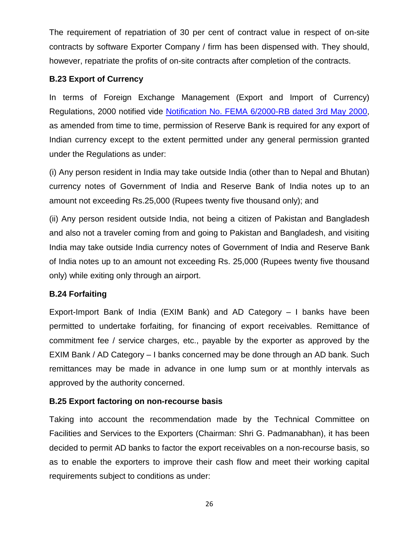The requirement of repatriation of 30 per cent of contract value in respect of on-site contracts by software Exporter Company / firm has been dispensed with. They should, however, repatriate the profits of on-site contracts after completion of the contracts.

# **B.23 Export of Currency**

In terms of Foreign Exchange Management (Export and Import of Currency) Regulations, 2000 notified vide [Notification No. FEMA 6/2000-RB dated 3rd May 2000,](https://rbi.org.in/Scripts/BS_FemaNotifications.aspx?Id=160) as amended from time to time, permission of Reserve Bank is required for any export of Indian currency except to the extent permitted under any general permission granted under the Regulations as under:

(i) Any person resident in India may take outside India (other than to Nepal and Bhutan) currency notes of Government of India and Reserve Bank of India notes up to an amount not exceeding Rs.25,000 (Rupees twenty five thousand only); and

(ii) Any person resident outside India, not being a citizen of Pakistan and Bangladesh and also not a traveler coming from and going to Pakistan and Bangladesh, and visiting India may take outside India currency notes of Government of India and Reserve Bank of India notes up to an amount not exceeding Rs. 25,000 (Rupees twenty five thousand only) while exiting only through an airport.

# **B.24 Forfaiting**

Export-Import Bank of India (EXIM Bank) and AD Category – I banks have been permitted to undertake forfaiting, for financing of export receivables. Remittance of commitment fee / service charges, etc., payable by the exporter as approved by the EXIM Bank / AD Category – I banks concerned may be done through an AD bank. Such remittances may be made in advance in one lump sum or at monthly intervals as approved by the authority concerned.

# **B.25 Export factoring on non-recourse basis**

Taking into account the recommendation made by the Technical Committee on Facilities and Services to the Exporters (Chairman: Shri G. Padmanabhan), it has been decided to permit AD banks to factor the export receivables on a non-recourse basis, so as to enable the exporters to improve their cash flow and meet their working capital requirements subject to conditions as under: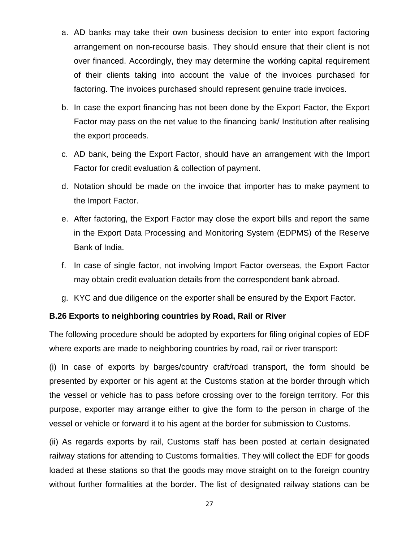- a. AD banks may take their own business decision to enter into export factoring arrangement on non-recourse basis. They should ensure that their client is not over financed. Accordingly, they may determine the working capital requirement of their clients taking into account the value of the invoices purchased for factoring. The invoices purchased should represent genuine trade invoices.
- b. In case the export financing has not been done by the Export Factor, the Export Factor may pass on the net value to the financing bank/ Institution after realising the export proceeds.
- c. AD bank, being the Export Factor, should have an arrangement with the Import Factor for credit evaluation & collection of payment.
- d. Notation should be made on the invoice that importer has to make payment to the Import Factor.
- e. After factoring, the Export Factor may close the export bills and report the same in the Export Data Processing and Monitoring System (EDPMS) of the Reserve Bank of India.
- f. In case of single factor, not involving Import Factor overseas, the Export Factor may obtain credit evaluation details from the correspondent bank abroad.
- g. KYC and due diligence on the exporter shall be ensured by the Export Factor.

### **B.26 Exports to neighboring countries by Road, Rail or River**

The following procedure should be adopted by exporters for filing original copies of EDF where exports are made to neighboring countries by road, rail or river transport:

(i) In case of exports by barges/country craft/road transport, the form should be presented by exporter or his agent at the Customs station at the border through which the vessel or vehicle has to pass before crossing over to the foreign territory. For this purpose, exporter may arrange either to give the form to the person in charge of the vessel or vehicle or forward it to his agent at the border for submission to Customs.

(ii) As regards exports by rail, Customs staff has been posted at certain designated railway stations for attending to Customs formalities. They will collect the EDF for goods loaded at these stations so that the goods may move straight on to the foreign country without further formalities at the border. The list of designated railway stations can be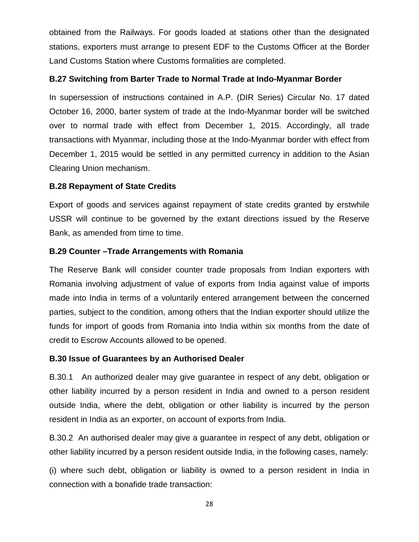obtained from the Railways. For goods loaded at stations other than the designated stations, exporters must arrange to present EDF to the Customs Officer at the Border Land Customs Station where Customs formalities are completed.

# **B.27 Switching from Barter Trade to Normal Trade at Indo-Myanmar Border**

In supersession of instructions contained in A.P. (DIR Series) Circular No. 17 dated October 16, 2000, barter system of trade at the Indo-Myanmar border will be switched over to normal trade with effect from December 1, 2015. Accordingly, all trade transactions with Myanmar, including those at the Indo-Myanmar border with effect from December 1, 2015 would be settled in any permitted currency in addition to the Asian Clearing Union mechanism.

# **B.28 Repayment of State Credits**

Export of goods and services against repayment of state credits granted by erstwhile USSR will continue to be governed by the extant directions issued by the Reserve Bank, as amended from time to time.

# **B.29 Counter –Trade Arrangements with Romania**

The Reserve Bank will consider counter trade proposals from Indian exporters with Romania involving adjustment of value of exports from India against value of imports made into India in terms of a voluntarily entered arrangement between the concerned parties, subject to the condition, among others that the Indian exporter should utilize the funds for import of goods from Romania into India within six months from the date of credit to Escrow Accounts allowed to be opened.

# **B.30 Issue of Guarantees by an Authorised Dealer**

B.30.1 An authorized dealer may give guarantee in respect of any debt, obligation or other liability incurred by a person resident in India and owned to a person resident outside India, where the debt, obligation or other liability is incurred by the person resident in India as an exporter, on account of exports from India.

B.30.2 An authorised dealer may give a guarantee in respect of any debt, obligation or other liability incurred by a person resident outside India, in the following cases, namely:

(i) where such debt, obligation or liability is owned to a person resident in India in connection with a bonafide trade transaction: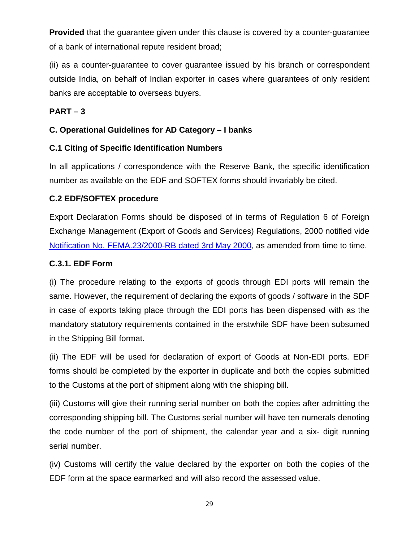**Provided** that the guarantee given under this clause is covered by a counter-guarantee of a bank of international repute resident broad;

(ii) as a counter-guarantee to cover guarantee issued by his branch or correspondent outside India, on behalf of Indian exporter in cases where guarantees of only resident banks are acceptable to overseas buyers.

# **PART – 3**

# **C. Operational Guidelines for AD Category – I banks**

# **C.1 Citing of Specific Identification Numbers**

In all applications / correspondence with the Reserve Bank, the specific identification number as available on the EDF and SOFTEX forms should invariably be cited.

# **C.2 EDF/SOFTEX procedure**

Export Declaration Forms should be disposed of in terms of Regulation 6 of Foreign Exchange Management (Export of Goods and Services) Regulations, 2000 notified vide [Notification No. FEMA.23/2000-RB dated 3rd May 2000,](https://rbi.org.in/Scripts/BS_FemaNotifications.aspx?Id=177) as amended from time to time.

# **C.3.1. EDF Form**

(i) The procedure relating to the exports of goods through EDI ports will remain the same. However, the requirement of declaring the exports of goods / software in the SDF in case of exports taking place through the EDI ports has been dispensed with as the mandatory statutory requirements contained in the erstwhile SDF have been subsumed in the Shipping Bill format.

(ii) The EDF will be used for declaration of export of Goods at Non-EDI ports. EDF forms should be completed by the exporter in duplicate and both the copies submitted to the Customs at the port of shipment along with the shipping bill.

(iii) Customs will give their running serial number on both the copies after admitting the corresponding shipping bill. The Customs serial number will have ten numerals denoting the code number of the port of shipment, the calendar year and a six- digit running serial number.

(iv) Customs will certify the value declared by the exporter on both the copies of the EDF form at the space earmarked and will also record the assessed value.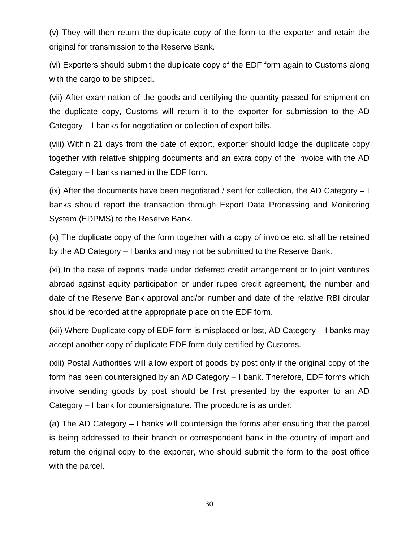(v) They will then return the duplicate copy of the form to the exporter and retain the original for transmission to the Reserve Bank.

(vi) Exporters should submit the duplicate copy of the EDF form again to Customs along with the cargo to be shipped.

(vii) After examination of the goods and certifying the quantity passed for shipment on the duplicate copy, Customs will return it to the exporter for submission to the AD Category – I banks for negotiation or collection of export bills.

(viii) Within 21 days from the date of export, exporter should lodge the duplicate copy together with relative shipping documents and an extra copy of the invoice with the AD Category – I banks named in the EDF form.

(ix) After the documents have been negotiated / sent for collection, the AD Category  $-1$ banks should report the transaction through Export Data Processing and Monitoring System (EDPMS) to the Reserve Bank.

(x) The duplicate copy of the form together with a copy of invoice etc. shall be retained by the AD Category – I banks and may not be submitted to the Reserve Bank.

(xi) In the case of exports made under deferred credit arrangement or to joint ventures abroad against equity participation or under rupee credit agreement, the number and date of the Reserve Bank approval and/or number and date of the relative RBI circular should be recorded at the appropriate place on the EDF form.

(xii) Where Duplicate copy of EDF form is misplaced or lost, AD Category – I banks may accept another copy of duplicate EDF form duly certified by Customs.

(xiii) Postal Authorities will allow export of goods by post only if the original copy of the form has been countersigned by an AD Category – I bank. Therefore, EDF forms which involve sending goods by post should be first presented by the exporter to an AD Category – I bank for countersignature. The procedure is as under:

(a) The AD Category – I banks will countersign the forms after ensuring that the parcel is being addressed to their branch or correspondent bank in the country of import and return the original copy to the exporter, who should submit the form to the post office with the parcel.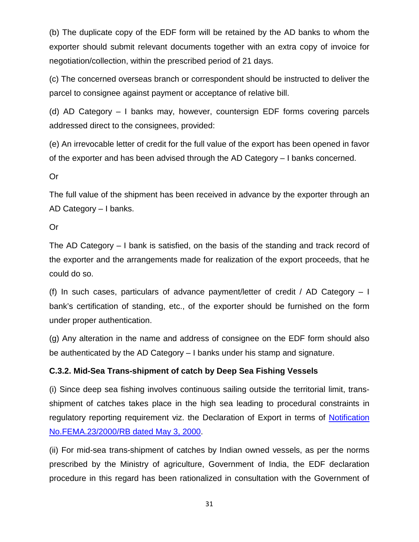(b) The duplicate copy of the EDF form will be retained by the AD banks to whom the exporter should submit relevant documents together with an extra copy of invoice for negotiation/collection, within the prescribed period of 21 days.

(c) The concerned overseas branch or correspondent should be instructed to deliver the parcel to consignee against payment or acceptance of relative bill.

(d) AD Category – I banks may, however, countersign EDF forms covering parcels addressed direct to the consignees, provided:

(e) An irrevocable letter of credit for the full value of the export has been opened in favor of the exporter and has been advised through the AD Category – I banks concerned.

Or

The full value of the shipment has been received in advance by the exporter through an AD Category – I banks.

Or

The AD Category – I bank is satisfied, on the basis of the standing and track record of the exporter and the arrangements made for realization of the export proceeds, that he could do so.

(f) In such cases, particulars of advance payment/letter of credit / AD Category  $-1$ bank's certification of standing, etc., of the exporter should be furnished on the form under proper authentication.

(g) Any alteration in the name and address of consignee on the EDF form should also be authenticated by the AD Category – I banks under his stamp and signature.

# **C.3.2. Mid-Sea Trans-shipment of catch by Deep Sea Fishing Vessels**

(i) Since deep sea fishing involves continuous sailing outside the territorial limit, transshipment of catches takes place in the high sea leading to procedural constraints in regulatory reporting requirement viz. the Declaration of Export in terms of Notification [No.FEMA.23/2000/RB dated May 3, 2000.](https://rbi.org.in/Scripts/BS_FemaNotifications.aspx?Id=177)

(ii) For mid-sea trans-shipment of catches by Indian owned vessels, as per the norms prescribed by the Ministry of agriculture, Government of India, the EDF declaration procedure in this regard has been rationalized in consultation with the Government of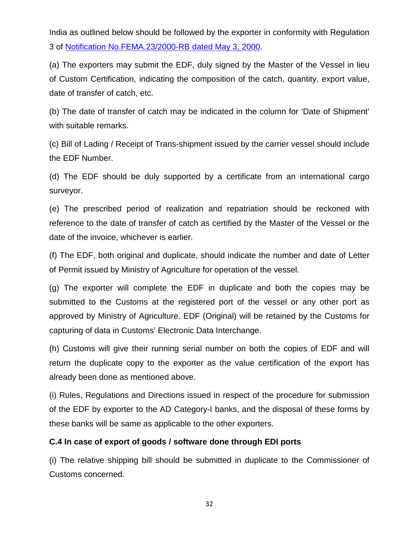India as outlined below should be followed by the exporter in conformity with Regulation 3 of [Notification No.FEMA.23/2000-RB dated May 3, 2000.](https://rbi.org.in/Scripts/BS_FemaNotifications.aspx?Id=177)

(a) The exporters may submit the EDF, duly signed by the Master of the Vessel in lieu of Custom Certification, indicating the composition of the catch, quantity, export value, date of transfer of catch, etc.

(b) The date of transfer of catch may be indicated in the column for 'Date of Shipment' with suitable remarks.

(c) Bill of Lading / Receipt of Trans-shipment issued by the carrier vessel should include the EDF Number.

(d) The EDF should be duly supported by a certificate from an international cargo surveyor.

(e) The prescribed period of realization and repatriation should be reckoned with reference to the date of transfer of catch as certified by the Master of the Vessel or the date of the invoice, whichever is earlier.

(f) The EDF, both original and duplicate, should indicate the number and date of Letter of Permit issued by Ministry of Agriculture for operation of the vessel.

(g) The exporter will complete the EDF in duplicate and both the copies may be submitted to the Customs at the registered port of the vessel or any other port as approved by Ministry of Agriculture. EDF (Original) will be retained by the Customs for capturing of data in Customs' Electronic Data Interchange.

(h) Customs will give their running serial number on both the copies of EDF and will return the duplicate copy to the exporter as the value certification of the export has already been done as mentioned above.

(i) Rules, Regulations and Directions issued in respect of the procedure for submission of the EDF by exporter to the AD Category-I banks, and the disposal of these forms by these banks will be same as applicable to the other exporters.

# **C.4 In case of export of goods / software done through EDI ports**

(i) The relative shipping bill should be submitted in duplicate to the Commissioner of Customs concerned.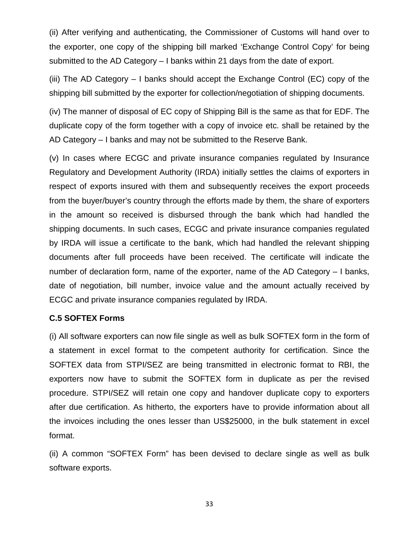(ii) After verifying and authenticating, the Commissioner of Customs will hand over to the exporter, one copy of the shipping bill marked 'Exchange Control Copy' for being submitted to the AD Category – I banks within 21 days from the date of export.

(iii) The AD Category – I banks should accept the Exchange Control (EC) copy of the shipping bill submitted by the exporter for collection/negotiation of shipping documents.

(iv) The manner of disposal of EC copy of Shipping Bill is the same as that for EDF. The duplicate copy of the form together with a copy of invoice etc. shall be retained by the AD Category – I banks and may not be submitted to the Reserve Bank.

(v) In cases where ECGC and private insurance companies regulated by Insurance Regulatory and Development Authority (IRDA) initially settles the claims of exporters in respect of exports insured with them and subsequently receives the export proceeds from the buyer/buyer's country through the efforts made by them, the share of exporters in the amount so received is disbursed through the bank which had handled the shipping documents. In such cases, ECGC and private insurance companies regulated by IRDA will issue a certificate to the bank, which had handled the relevant shipping documents after full proceeds have been received. The certificate will indicate the number of declaration form, name of the exporter, name of the AD Category – I banks, date of negotiation, bill number, invoice value and the amount actually received by ECGC and private insurance companies regulated by IRDA.

### **C.5 SOFTEX Forms**

(i) All software exporters can now file single as well as bulk SOFTEX form in the form of a statement in excel format to the competent authority for certification. Since the SOFTEX data from STPI/SEZ are being transmitted in electronic format to RBI, the exporters now have to submit the SOFTEX form in duplicate as per the revised procedure. STPI/SEZ will retain one copy and handover duplicate copy to exporters after due certification. As hitherto, the exporters have to provide information about all the invoices including the ones lesser than US\$25000, in the bulk statement in excel format.

(ii) A common "SOFTEX Form" has been devised to declare single as well as bulk software exports.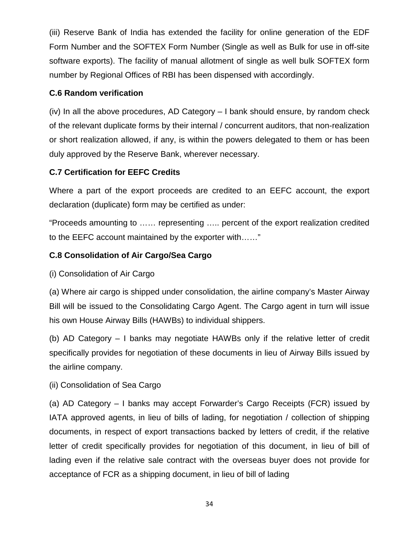(iii) Reserve Bank of India has extended the facility for online generation of the EDF Form Number and the SOFTEX Form Number (Single as well as Bulk for use in off-site software exports). The facility of manual allotment of single as well bulk SOFTEX form number by Regional Offices of RBI has been dispensed with accordingly.

# **C.6 Random verification**

(iv) In all the above procedures, AD Category – I bank should ensure, by random check of the relevant duplicate forms by their internal / concurrent auditors, that non-realization or short realization allowed, if any, is within the powers delegated to them or has been duly approved by the Reserve Bank, wherever necessary.

# **C.7 Certification for EEFC Credits**

Where a part of the export proceeds are credited to an EEFC account, the export declaration (duplicate) form may be certified as under:

"Proceeds amounting to …… representing ….. percent of the export realization credited to the EEFC account maintained by the exporter with……"

### **C.8 Consolidation of Air Cargo/Sea Cargo**

(i) Consolidation of Air Cargo

(a) Where air cargo is shipped under consolidation, the airline company's Master Airway Bill will be issued to the Consolidating Cargo Agent. The Cargo agent in turn will issue his own House Airway Bills (HAWBs) to individual shippers.

(b) AD Category – I banks may negotiate HAWBs only if the relative letter of credit specifically provides for negotiation of these documents in lieu of Airway Bills issued by the airline company.

(ii) Consolidation of Sea Cargo

(a) AD Category – I banks may accept Forwarder's Cargo Receipts (FCR) issued by IATA approved agents, in lieu of bills of lading, for negotiation / collection of shipping documents, in respect of export transactions backed by letters of credit, if the relative letter of credit specifically provides for negotiation of this document, in lieu of bill of lading even if the relative sale contract with the overseas buyer does not provide for acceptance of FCR as a shipping document, in lieu of bill of lading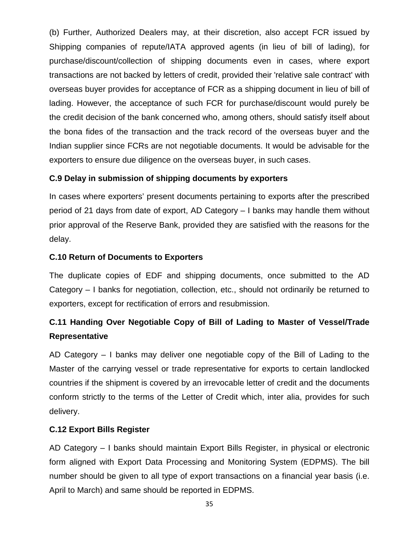(b) Further, Authorized Dealers may, at their discretion, also accept FCR issued by Shipping companies of repute/IATA approved agents (in lieu of bill of lading), for purchase/discount/collection of shipping documents even in cases, where export transactions are not backed by letters of credit, provided their 'relative sale contract' with overseas buyer provides for acceptance of FCR as a shipping document in lieu of bill of lading. However, the acceptance of such FCR for purchase/discount would purely be the credit decision of the bank concerned who, among others, should satisfy itself about the bona fides of the transaction and the track record of the overseas buyer and the Indian supplier since FCRs are not negotiable documents. It would be advisable for the exporters to ensure due diligence on the overseas buyer, in such cases.

# **C.9 Delay in submission of shipping documents by exporters**

In cases where exporters' present documents pertaining to exports after the prescribed period of 21 days from date of export, AD Category – I banks may handle them without prior approval of the Reserve Bank, provided they are satisfied with the reasons for the delay.

# **C.10 Return of Documents to Exporters**

The duplicate copies of EDF and shipping documents, once submitted to the AD Category – I banks for negotiation, collection, etc., should not ordinarily be returned to exporters, except for rectification of errors and resubmission.

# **C.11 Handing Over Negotiable Copy of Bill of Lading to Master of Vessel/Trade Representative**

AD Category – I banks may deliver one negotiable copy of the Bill of Lading to the Master of the carrying vessel or trade representative for exports to certain landlocked countries if the shipment is covered by an irrevocable letter of credit and the documents conform strictly to the terms of the Letter of Credit which, inter alia, provides for such delivery.

# **C.12 Export Bills Register**

AD Category – I banks should maintain Export Bills Register, in physical or electronic form aligned with Export Data Processing and Monitoring System (EDPMS). The bill number should be given to all type of export transactions on a financial year basis (i.e. April to March) and same should be reported in EDPMS.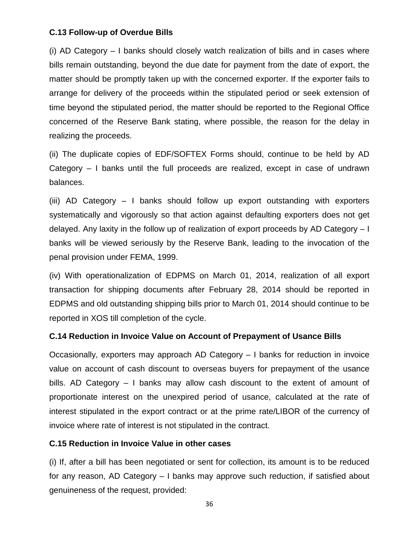### **C.13 Follow-up of Overdue Bills**

(i) AD Category – I banks should closely watch realization of bills and in cases where bills remain outstanding, beyond the due date for payment from the date of export, the matter should be promptly taken up with the concerned exporter. If the exporter fails to arrange for delivery of the proceeds within the stipulated period or seek extension of time beyond the stipulated period, the matter should be reported to the Regional Office concerned of the Reserve Bank stating, where possible, the reason for the delay in realizing the proceeds.

(ii) The duplicate copies of EDF/SOFTEX Forms should, continue to be held by AD Category – I banks until the full proceeds are realized, except in case of undrawn balances.

(iii) AD Category – I banks should follow up export outstanding with exporters systematically and vigorously so that action against defaulting exporters does not get delayed. Any laxity in the follow up of realization of export proceeds by AD Category – I banks will be viewed seriously by the Reserve Bank, leading to the invocation of the penal provision under FEMA, 1999.

(iv) With operationalization of EDPMS on March 01, 2014, realization of all export transaction for shipping documents after February 28, 2014 should be reported in EDPMS and old outstanding shipping bills prior to March 01, 2014 should continue to be reported in XOS till completion of the cycle.

# **C.14 Reduction in Invoice Value on Account of Prepayment of Usance Bills**

Occasionally, exporters may approach AD Category – I banks for reduction in invoice value on account of cash discount to overseas buyers for prepayment of the usance bills. AD Category – I banks may allow cash discount to the extent of amount of proportionate interest on the unexpired period of usance, calculated at the rate of interest stipulated in the export contract or at the prime rate/LIBOR of the currency of invoice where rate of interest is not stipulated in the contract.

### **C.15 Reduction in Invoice Value in other cases**

(i) If, after a bill has been negotiated or sent for collection, its amount is to be reduced for any reason, AD Category – I banks may approve such reduction, if satisfied about genuineness of the request, provided: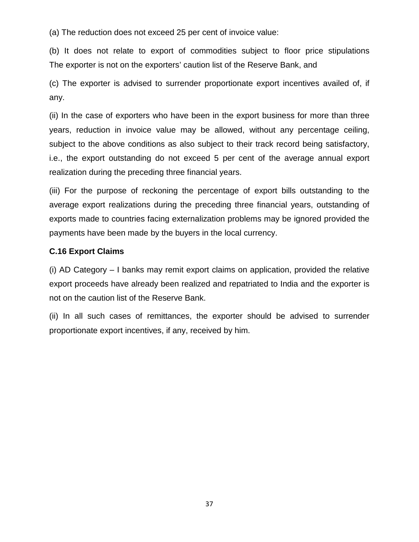(a) The reduction does not exceed 25 per cent of invoice value:

(b) It does not relate to export of commodities subject to floor price stipulations The exporter is not on the exporters' caution list of the Reserve Bank, and

(c) The exporter is advised to surrender proportionate export incentives availed of, if any.

(ii) In the case of exporters who have been in the export business for more than three years, reduction in invoice value may be allowed, without any percentage ceiling, subject to the above conditions as also subject to their track record being satisfactory, i.e., the export outstanding do not exceed 5 per cent of the average annual export realization during the preceding three financial years.

(iii) For the purpose of reckoning the percentage of export bills outstanding to the average export realizations during the preceding three financial years, outstanding of exports made to countries facing externalization problems may be ignored provided the payments have been made by the buyers in the local currency.

### **C.16 Export Claims**

(i) AD Category – I banks may remit export claims on application, provided the relative export proceeds have already been realized and repatriated to India and the exporter is not on the caution list of the Reserve Bank.

(ii) In all such cases of remittances, the exporter should be advised to surrender proportionate export incentives, if any, received by him.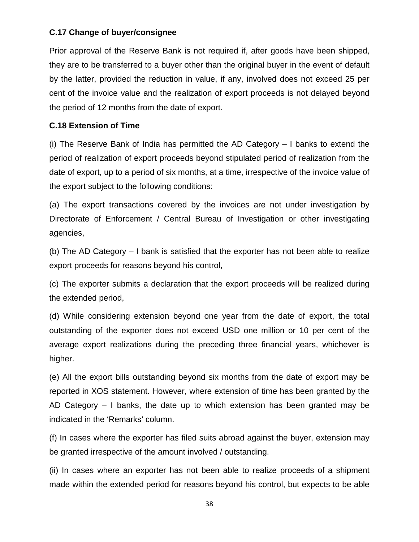### **C.17 Change of buyer/consignee**

Prior approval of the Reserve Bank is not required if, after goods have been shipped, they are to be transferred to a buyer other than the original buyer in the event of default by the latter, provided the reduction in value, if any, involved does not exceed 25 per cent of the invoice value and the realization of export proceeds is not delayed beyond the period of 12 months from the date of export.

### **C.18 Extension of Time**

(i) The Reserve Bank of India has permitted the AD Category – I banks to extend the period of realization of export proceeds beyond stipulated period of realization from the date of export, up to a period of six months, at a time, irrespective of the invoice value of the export subject to the following conditions:

(a) The export transactions covered by the invoices are not under investigation by Directorate of Enforcement / Central Bureau of Investigation or other investigating agencies,

(b) The AD Category – I bank is satisfied that the exporter has not been able to realize export proceeds for reasons beyond his control,

(c) The exporter submits a declaration that the export proceeds will be realized during the extended period,

(d) While considering extension beyond one year from the date of export, the total outstanding of the exporter does not exceed USD one million or 10 per cent of the average export realizations during the preceding three financial years, whichever is higher.

(e) All the export bills outstanding beyond six months from the date of export may be reported in XOS statement. However, where extension of time has been granted by the AD Category – I banks, the date up to which extension has been granted may be indicated in the 'Remarks' column.

(f) In cases where the exporter has filed suits abroad against the buyer, extension may be granted irrespective of the amount involved / outstanding.

(ii) In cases where an exporter has not been able to realize proceeds of a shipment made within the extended period for reasons beyond his control, but expects to be able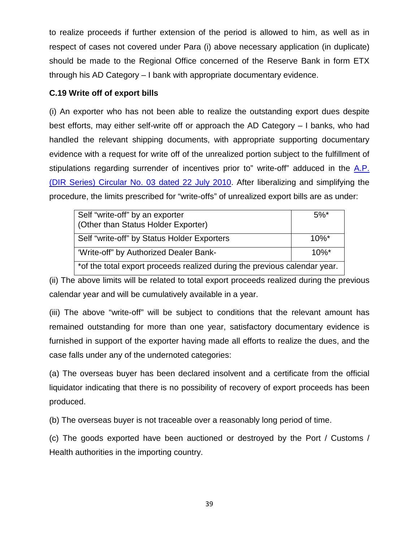to realize proceeds if further extension of the period is allowed to him, as well as in respect of cases not covered under Para (i) above necessary application (in duplicate) should be made to the Regional Office concerned of the Reserve Bank in form ETX through his AD Category – I bank with appropriate documentary evidence.

### **C.19 Write off of export bills**

(i) An exporter who has not been able to realize the outstanding export dues despite best efforts, may either self-write off or approach the AD Category – I banks, who had handled the relevant shipping documents, with appropriate supporting documentary evidence with a request for write off of the unrealized portion subject to the fulfillment of stipulations regarding surrender of incentives prior to" write-off" adduced in the [A.P.](https://rbi.org.in/Scripts/NotificationUser.aspx?Id=5885&Mode=0)  [\(DIR Series\) Circular No. 03 dated 22 July 2010.](https://rbi.org.in/Scripts/NotificationUser.aspx?Id=5885&Mode=0) After liberalizing and simplifying the procedure, the limits prescribed for "write-offs" of unrealized export bills are as under:

| Self "write-off" by an exporter<br>(Other than Status Holder Exporter)    | $5\%$ <sup>*</sup> |
|---------------------------------------------------------------------------|--------------------|
| Self "write-off" by Status Holder Exporters                               | $10\%$ *           |
| 'Write-off" by Authorized Dealer Bank-                                    | $10\%$ *           |
| *of the total export proceeds realized during the previous calendar year. |                    |

(ii) The above limits will be related to total export proceeds realized during the previous calendar year and will be cumulatively available in a year.

(iii) The above "write-off" will be subject to conditions that the relevant amount has remained outstanding for more than one year, satisfactory documentary evidence is furnished in support of the exporter having made all efforts to realize the dues, and the case falls under any of the undernoted categories:

(a) The overseas buyer has been declared insolvent and a certificate from the official liquidator indicating that there is no possibility of recovery of export proceeds has been produced.

(b) The overseas buyer is not traceable over a reasonably long period of time.

(c) The goods exported have been auctioned or destroyed by the Port / Customs / Health authorities in the importing country.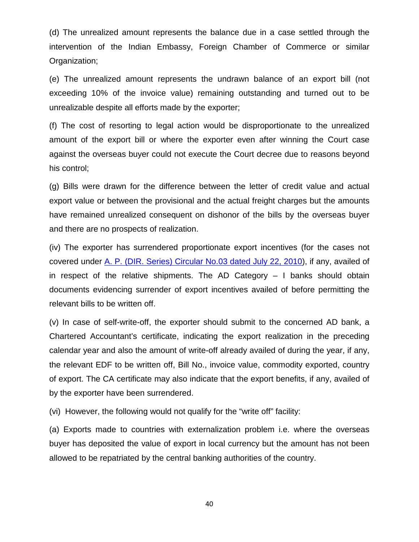(d) The unrealized amount represents the balance due in a case settled through the intervention of the Indian Embassy, Foreign Chamber of Commerce or similar Organization;

(e) The unrealized amount represents the undrawn balance of an export bill (not exceeding 10% of the invoice value) remaining outstanding and turned out to be unrealizable despite all efforts made by the exporter;

(f) The cost of resorting to legal action would be disproportionate to the unrealized amount of the export bill or where the exporter even after winning the Court case against the overseas buyer could not execute the Court decree due to reasons beyond his control;

(g) Bills were drawn for the difference between the letter of credit value and actual export value or between the provisional and the actual freight charges but the amounts have remained unrealized consequent on dishonor of the bills by the overseas buyer and there are no prospects of realization.

(iv) The exporter has surrendered proportionate export incentives (for the cases not covered under [A. P. \(DIR. Series\) Circular No.03 dated July 22, 2010\)](https://rbi.org.in/Scripts/NotificationUser.aspx?Id=5885&Mode=0), if any, availed of in respect of the relative shipments. The AD Category  $-1$  banks should obtain documents evidencing surrender of export incentives availed of before permitting the relevant bills to be written off.

(v) In case of self-write-off, the exporter should submit to the concerned AD bank, a Chartered Accountant's certificate, indicating the export realization in the preceding calendar year and also the amount of write-off already availed of during the year, if any, the relevant EDF to be written off, Bill No., invoice value, commodity exported, country of export. The CA certificate may also indicate that the export benefits, if any, availed of by the exporter have been surrendered.

(vi) However, the following would not qualify for the "write off" facility:

(a) Exports made to countries with externalization problem i.e. where the overseas buyer has deposited the value of export in local currency but the amount has not been allowed to be repatriated by the central banking authorities of the country.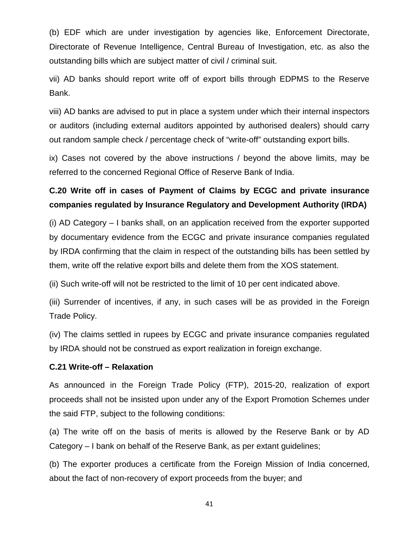(b) EDF which are under investigation by agencies like, Enforcement Directorate, Directorate of Revenue Intelligence, Central Bureau of Investigation, etc. as also the outstanding bills which are subject matter of civil / criminal suit.

vii) AD banks should report write off of export bills through EDPMS to the Reserve Bank.

viii) AD banks are advised to put in place a system under which their internal inspectors or auditors (including external auditors appointed by authorised dealers) should carry out random sample check / percentage check of "write-off" outstanding export bills.

ix) Cases not covered by the above instructions / beyond the above limits, may be referred to the concerned Regional Office of Reserve Bank of India.

# **C.20 Write off in cases of Payment of Claims by ECGC and private insurance companies regulated by Insurance Regulatory and Development Authority (IRDA)**

(i) AD Category – I banks shall, on an application received from the exporter supported by documentary evidence from the ECGC and private insurance companies regulated by IRDA confirming that the claim in respect of the outstanding bills has been settled by them, write off the relative export bills and delete them from the XOS statement.

(ii) Such write-off will not be restricted to the limit of 10 per cent indicated above.

(iii) Surrender of incentives, if any, in such cases will be as provided in the Foreign Trade Policy.

(iv) The claims settled in rupees by ECGC and private insurance companies regulated by IRDA should not be construed as export realization in foreign exchange.

### **C.21 Write-off – Relaxation**

As announced in the Foreign Trade Policy (FTP), 2015-20, realization of export proceeds shall not be insisted upon under any of the Export Promotion Schemes under the said FTP, subject to the following conditions:

(a) The write off on the basis of merits is allowed by the Reserve Bank or by AD Category – I bank on behalf of the Reserve Bank, as per extant guidelines;

(b) The exporter produces a certificate from the Foreign Mission of India concerned, about the fact of non-recovery of export proceeds from the buyer; and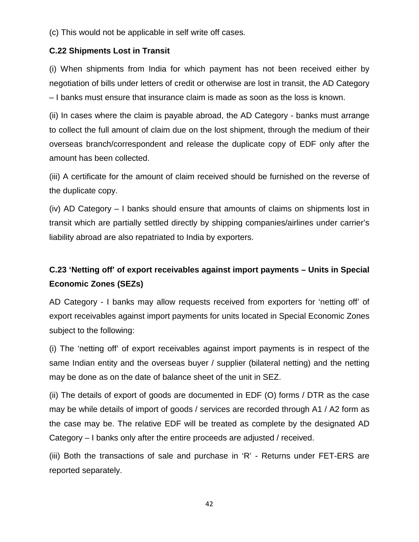(c) This would not be applicable in self write off cases.

# **C.22 Shipments Lost in Transit**

(i) When shipments from India for which payment has not been received either by negotiation of bills under letters of credit or otherwise are lost in transit, the AD Category – I banks must ensure that insurance claim is made as soon as the loss is known.

(ii) In cases where the claim is payable abroad, the AD Category - banks must arrange to collect the full amount of claim due on the lost shipment, through the medium of their overseas branch/correspondent and release the duplicate copy of EDF only after the amount has been collected.

(iii) A certificate for the amount of claim received should be furnished on the reverse of the duplicate copy.

(iv) AD Category – I banks should ensure that amounts of claims on shipments lost in transit which are partially settled directly by shipping companies/airlines under carrier's liability abroad are also repatriated to India by exporters.

# **C.23 'Netting off' of export receivables against import payments – Units in Special Economic Zones (SEZs)**

AD Category - I banks may allow requests received from exporters for 'netting off' of export receivables against import payments for units located in Special Economic Zones subject to the following:

(i) The 'netting off' of export receivables against import payments is in respect of the same Indian entity and the overseas buyer / supplier (bilateral netting) and the netting may be done as on the date of balance sheet of the unit in SEZ.

(ii) The details of export of goods are documented in EDF (O) forms / DTR as the case may be while details of import of goods / services are recorded through A1 / A2 form as the case may be. The relative EDF will be treated as complete by the designated AD Category – I banks only after the entire proceeds are adjusted / received.

(iii) Both the transactions of sale and purchase in 'R' - Returns under FET-ERS are reported separately.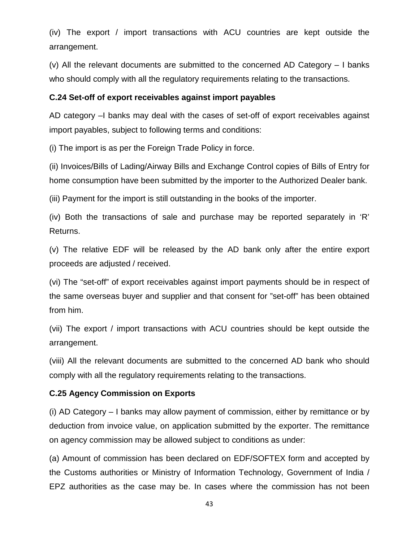(iv) The export / import transactions with ACU countries are kept outside the arrangement.

(v) All the relevant documents are submitted to the concerned AD Category – I banks who should comply with all the regulatory requirements relating to the transactions.

# **C.24 Set-off of export receivables against import payables**

AD category –I banks may deal with the cases of set-off of export receivables against import payables, subject to following terms and conditions:

(i) The import is as per the Foreign Trade Policy in force.

(ii) Invoices/Bills of Lading/Airway Bills and Exchange Control copies of Bills of Entry for home consumption have been submitted by the importer to the Authorized Dealer bank.

(iii) Payment for the import is still outstanding in the books of the importer.

(iv) Both the transactions of sale and purchase may be reported separately in 'R' Returns.

(v) The relative EDF will be released by the AD bank only after the entire export proceeds are adjusted / received.

(vi) The "set-off" of export receivables against import payments should be in respect of the same overseas buyer and supplier and that consent for "set-off" has been obtained from him.

(vii) The export / import transactions with ACU countries should be kept outside the arrangement.

(viii) All the relevant documents are submitted to the concerned AD bank who should comply with all the regulatory requirements relating to the transactions.

# **C.25 Agency Commission on Exports**

(i) AD Category – I banks may allow payment of commission, either by remittance or by deduction from invoice value, on application submitted by the exporter. The remittance on agency commission may be allowed subject to conditions as under:

(a) Amount of commission has been declared on EDF/SOFTEX form and accepted by the Customs authorities or Ministry of Information Technology, Government of India / EPZ authorities as the case may be. In cases where the commission has not been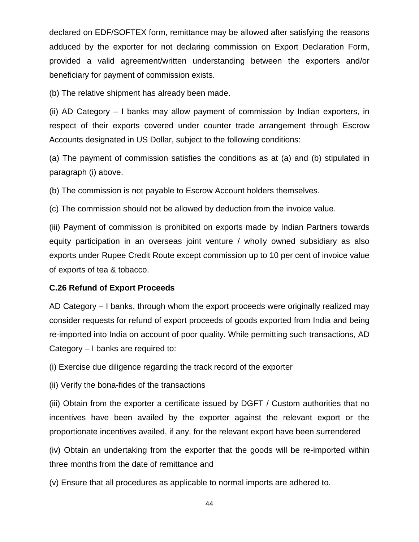declared on EDF/SOFTEX form, remittance may be allowed after satisfying the reasons adduced by the exporter for not declaring commission on Export Declaration Form, provided a valid agreement/written understanding between the exporters and/or beneficiary for payment of commission exists.

(b) The relative shipment has already been made.

(ii) AD Category – I banks may allow payment of commission by Indian exporters, in respect of their exports covered under counter trade arrangement through Escrow Accounts designated in US Dollar, subject to the following conditions:

(a) The payment of commission satisfies the conditions as at (a) and (b) stipulated in paragraph (i) above.

(b) The commission is not payable to Escrow Account holders themselves.

(c) The commission should not be allowed by deduction from the invoice value.

(iii) Payment of commission is prohibited on exports made by Indian Partners towards equity participation in an overseas joint venture / wholly owned subsidiary as also exports under Rupee Credit Route except commission up to 10 per cent of invoice value of exports of tea & tobacco.

# **C.26 Refund of Export Proceeds**

AD Category – I banks, through whom the export proceeds were originally realized may consider requests for refund of export proceeds of goods exported from India and being re-imported into India on account of poor quality. While permitting such transactions, AD Category – I banks are required to:

(i) Exercise due diligence regarding the track record of the exporter

(ii) Verify the bona-fides of the transactions

(iii) Obtain from the exporter a certificate issued by DGFT / Custom authorities that no incentives have been availed by the exporter against the relevant export or the proportionate incentives availed, if any, for the relevant export have been surrendered

(iv) Obtain an undertaking from the exporter that the goods will be re-imported within three months from the date of remittance and

(v) Ensure that all procedures as applicable to normal imports are adhered to.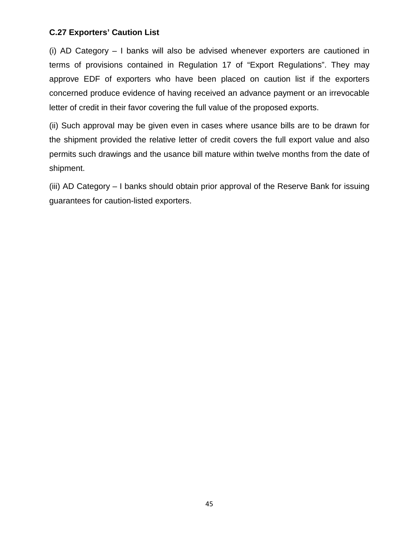### **C.27 Exporters' Caution List**

(i) AD Category – I banks will also be advised whenever exporters are cautioned in terms of provisions contained in Regulation 17 of "Export Regulations". They may approve EDF of exporters who have been placed on caution list if the exporters concerned produce evidence of having received an advance payment or an irrevocable letter of credit in their favor covering the full value of the proposed exports.

(ii) Such approval may be given even in cases where usance bills are to be drawn for the shipment provided the relative letter of credit covers the full export value and also permits such drawings and the usance bill mature within twelve months from the date of shipment.

(iii) AD Category – I banks should obtain prior approval of the Reserve Bank for issuing guarantees for caution-listed exporters.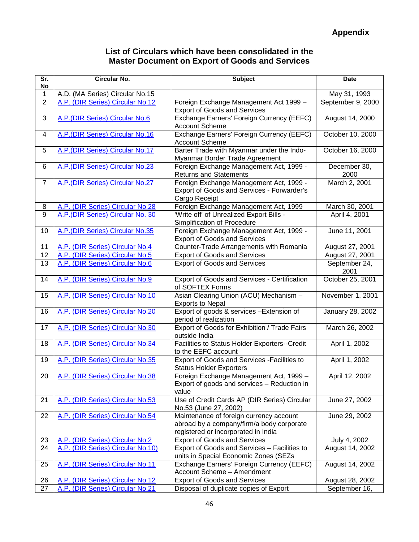# **List of Circulars which have been consolidated in the Master Document on Export of Goods and Services**

| Sr.<br>No      | <b>Circular No.</b>               | <b>Subject</b>                                                                                                              | <b>Date</b>           |
|----------------|-----------------------------------|-----------------------------------------------------------------------------------------------------------------------------|-----------------------|
| 1              | A.D. (MA Series) Circular No.15   |                                                                                                                             | May 31, 1993          |
| $\overline{2}$ | A.P. (DIR Series) Circular No.12  | Foreign Exchange Management Act 1999 -<br><b>Export of Goods and Services</b>                                               | September 9, 2000     |
| 3              | A.P. (DIR Series) Circular No.6   | Exchange Earners' Foreign Currency (EEFC)<br><b>Account Scheme</b>                                                          | August 14, 2000       |
| 4              | A.P.(DIR Series) Circular No.16   | Exchange Earners' Foreign Currency (EEFC)<br><b>Account Scheme</b>                                                          | October 10, 2000      |
| 5              | A.P. (DIR Series) Circular No.17  | Barter Trade with Myanmar under the Indo-<br>Myanmar Border Trade Agreement                                                 | October 16, 2000      |
| 6              | A.P.(DIR Series) Circular No.23   | Foreign Exchange Management Act, 1999 -<br><b>Returns and Statements</b>                                                    | December 30,<br>2000  |
| $\overline{7}$ | A.P.(DIR Series) Circular No.27   | Foreign Exchange Management Act, 1999 -<br>Export of Goods and Services - Forwarder's<br>Cargo Receipt                      | March 2, 2001         |
| 8              | A.P. (DIR Series) Circular No.28  | Foreign Exchange Management Act, 1999                                                                                       | March 30, 2001        |
| $\overline{9}$ | A.P. (DIR Series) Circular No. 30 | 'Write off' of Unrealized Export Bills -<br>Simplification of Procedure                                                     | April 4, 2001         |
| 10             | A.P. (DIR Series) Circular No.35  | Foreign Exchange Management Act, 1999 -<br><b>Export of Goods and Services</b>                                              | June 11, 2001         |
| 11             | A.P. (DIR Series) Circular No.4   | Counter-Trade Arrangements with Romania                                                                                     | August 27, 2001       |
| 12             | A.P. (DIR Series) Circular No.5   | <b>Export of Goods and Services</b>                                                                                         | August 27, 2001       |
| 13             | A.P. (DIR Series) Circular No.6   | <b>Export of Goods and Services</b>                                                                                         | September 24,<br>2001 |
| 14             | A.P. (DIR Series) Circular No.9   | <b>Export of Goods and Services - Certification</b><br>of SOFTEX Forms                                                      | October 25, 2001      |
| 15             | A.P. (DIR Series) Circular No.10  | Asian Clearing Union (ACU) Mechanism -<br><b>Exports to Nepal</b>                                                           | November 1, 2001      |
| 16             | A.P. (DIR Series) Circular No.20  | Export of goods & services - Extension of<br>period of realization                                                          | January 28, 2002      |
| 17             | A.P. (DIR Series) Circular No.30  | Export of Goods for Exhibition / Trade Fairs<br>outside India                                                               | March 26, 2002        |
| 18             | A.P. (DIR Series) Circular No.34  | Facilities to Status Holder Exporters--Credit<br>to the EEFC account                                                        | April 1, 2002         |
| 19             | A.P. (DIR Series) Circular No.35  | Export of Goods and Services - Facilities to<br><b>Status Holder Exporters</b>                                              | April 1, 2002         |
| 20             | A.P. (DIR Series) Circular No.38  | Foreign Exchange Management Act, 1999 -<br>Export of goods and services - Reduction in<br>value                             | April 12, 2002        |
| 21             | A.P. (DIR Series) Circular No.53  | Use of Credit Cards AP (DIR Series) Circular<br>No.53 (June 27, 2002)                                                       | June 27, 2002         |
| 22             | A.P. (DIR Series) Circular No.54  | Maintenance of foreign currency account<br>abroad by a company/firm/a body corporate<br>registered or incorporated in India | June 29, 2002         |
| 23             | A.P. (DIR Series) Circular No.2   | <b>Export of Goods and Services</b>                                                                                         | July 4, 2002          |
| 24             | A.P. (DIR Series) Circular No.10) | Export of Goods and Services - Facilities to<br>units in Special Economic Zones (SEZs                                       | August 14, 2002       |
| 25             | A.P. (DIR Series) Circular No.11  | Exchange Earners' Foreign Currency (EEFC)<br>Account Scheme - Amendment                                                     | August 14, 2002       |
| 26             | A.P. (DIR Series) Circular No.12  | <b>Export of Goods and Services</b>                                                                                         | August 28, 2002       |
| 27             | A.P. (DIR Series) Circular No.21  | Disposal of duplicate copies of Export                                                                                      | September 16,         |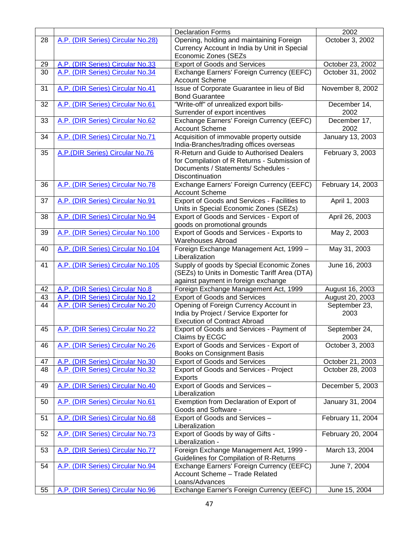|    |                                   | <b>Declaration Forms</b>                                                             | 2002                  |
|----|-----------------------------------|--------------------------------------------------------------------------------------|-----------------------|
| 28 | A.P. (DIR Series) Circular No.28) | Opening, holding and maintaining Foreign                                             | October 3, 2002       |
|    |                                   | Currency Account in India by Unit in Special                                         |                       |
|    |                                   | Economic Zones (SEZs                                                                 |                       |
| 29 | A.P. (DIR Series) Circular No.33  | <b>Export of Goods and Services</b>                                                  | October 23, 2002      |
| 30 | A.P. (DIR Series) Circular No.34  | Exchange Earners' Foreign Currency (EEFC)<br><b>Account Scheme</b>                   | October 31, 2002      |
| 31 | A.P. (DIR Series) Circular No.41  | Issue of Corporate Guarantee in lieu of Bid<br><b>Bond Guarantee</b>                 | November 8, 2002      |
| 32 | A.P. (DIR Series) Circular No.61  | "Write-off" of unrealized export bills-                                              | December 14,          |
|    |                                   | Surrender of export incentives                                                       | 2002                  |
| 33 | A.P. (DIR Series) Circular No.62  | Exchange Earners' Foreign Currency (EEFC)                                            | December 17,          |
|    |                                   | <b>Account Scheme</b>                                                                | 2002                  |
| 34 | A.P. (DIR Series) Circular No.71  | Acquisition of immovable property outside<br>India-Branches/trading offices overseas | January 13, 2003      |
| 35 | A.P. (DIR Series) Circular No.76  | R-Return and Guide to Authorised Dealers                                             | February 3, 2003      |
|    |                                   | for Compilation of R Returns - Submission of                                         |                       |
|    |                                   | Documents / Statements/ Schedules -                                                  |                       |
|    |                                   | Discontinuation                                                                      |                       |
| 36 | A.P. (DIR Series) Circular No.78  | Exchange Earners' Foreign Currency (EEFC)                                            | February 14, 2003     |
|    |                                   | <b>Account Scheme</b>                                                                |                       |
| 37 | A.P. (DIR Series) Circular No.91  | Export of Goods and Services - Facilities to                                         | April 1, 2003         |
|    |                                   | Units in Special Economic Zones (SEZs)                                               |                       |
| 38 | A.P. (DIR Series) Circular No.94  | Export of Goods and Services - Export of                                             | April 26, 2003        |
| 39 | A.P. (DIR Series) Circular No.100 | goods on promotional grounds<br>Export of Goods and Services - Exports to            | May 2, 2003           |
|    |                                   | <b>Warehouses Abroad</b>                                                             |                       |
| 40 | A.P. (DIR Series) Circular No.104 | Foreign Exchange Management Act, 1999 -                                              | May 31, 2003          |
|    |                                   | Liberalization                                                                       |                       |
| 41 | A.P. (DIR Series) Circular No.105 | Supply of goods by Special Economic Zones                                            | June 16, 2003         |
|    |                                   | (SEZs) to Units in Domestic Tariff Area (DTA)                                        |                       |
|    |                                   | against payment in foreign exchange                                                  |                       |
| 42 | A.P. (DIR Series) Circular No.8   | Foreign Exchange Management Act, 1999                                                | August 16, 2003       |
| 43 | A.P. (DIR Series) Circular No.12  | <b>Export of Goods and Services</b>                                                  | August 20, 2003       |
| 44 | A.P. (DIR Series) Circular No.20  | Opening of Foreign Currency Account in<br>India by Project / Service Exporter for    | September 23,<br>2003 |
|    |                                   | <b>Execution of Contract Abroad</b>                                                  |                       |
| 45 | A.P. (DIR Series) Circular No.22  | Export of Goods and Services - Payment of                                            | September 24,         |
|    |                                   | Claims by ECGC                                                                       | 2003                  |
| 46 | A.P. (DIR Series) Circular No.26  | Export of Goods and Services - Export of                                             | October 3, 2003       |
|    |                                   | <b>Books on Consignment Basis</b>                                                    |                       |
| 47 | A.P. (DIR Series) Circular No.30  | <b>Export of Goods and Services</b>                                                  | October 21, 2003      |
| 48 | A.P. (DIR Series) Circular No.32  | Export of Goods and Services - Project                                               | October 28, 2003      |
| 49 | A.P. (DIR Series) Circular No.40  | Exports<br>Export of Goods and Services -                                            | December 5, 2003      |
|    |                                   | Liberalization                                                                       |                       |
| 50 | A.P. (DIR Series) Circular No.61  | Exemption from Declaration of Export of                                              | January 31, 2004      |
|    |                                   | Goods and Software -                                                                 |                       |
| 51 | A.P. (DIR Series) Circular No.68  | Export of Goods and Services -                                                       | February 11, 2004     |
|    |                                   | Liberalization                                                                       |                       |
| 52 | A.P. (DIR Series) Circular No.73  | Export of Goods by way of Gifts -                                                    | February 20, 2004     |
|    |                                   | Liberalization -                                                                     |                       |
| 53 | A.P. (DIR Series) Circular No.77  | Foreign Exchange Management Act, 1999 -<br>Guidelines for Compilation of R-Returns   | March 13, 2004        |
| 54 | A.P. (DIR Series) Circular No.94  | Exchange Earners' Foreign Currency (EEFC)                                            | June 7, 2004          |
|    |                                   | Account Scheme - Trade Related                                                       |                       |
|    |                                   | Loans/Advances                                                                       |                       |
| 55 | A.P. (DIR Series) Circular No.96  | Exchange Earner's Foreign Currency (EEFC)                                            | June 15, 2004         |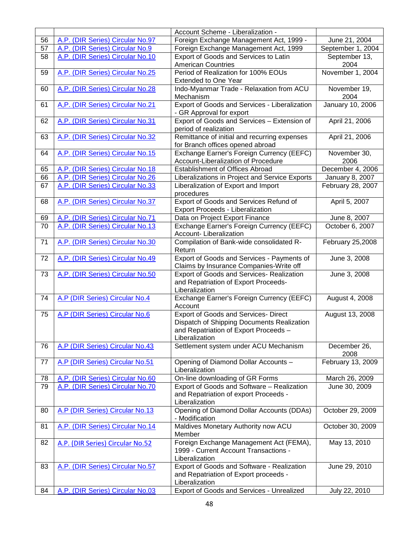|    |                                  | Account Scheme - Liberalization -                                                |                           |
|----|----------------------------------|----------------------------------------------------------------------------------|---------------------------|
| 56 | A.P. (DIR Series) Circular No.97 | Foreign Exchange Management Act, 1999 -                                          | June 21, 2004             |
| 57 | A.P. (DIR Series) Circular No.9  | Foreign Exchange Management Act, 1999                                            | September 1, 2004         |
| 58 | A.P. (DIR Series) Circular No.10 | Export of Goods and Services to Latin                                            | September 13,             |
|    |                                  | <b>American Countries</b>                                                        | 2004                      |
| 59 | A.P. (DIR Series) Circular No.25 | Period of Realization for 100% EOUs                                              | November 1, 2004          |
|    |                                  | Extended to One Year                                                             |                           |
| 60 | A.P. (DIR Series) Circular No.28 | Indo-Myanmar Trade - Relaxation from ACU                                         | November 19,              |
|    |                                  | Mechanism                                                                        | 2004                      |
| 61 | A,P. (DIR Series) Circular No.21 | Export of Goods and Services - Liberalization                                    | January 10, 2006          |
|    |                                  | - GR Approval for export                                                         |                           |
| 62 | A.P. (DIR Series) Circular No.31 | Export of Goods and Services - Extension of                                      | April 21, 2006            |
|    |                                  | period of realization                                                            |                           |
| 63 | A.P. (DIR Series) Circular No.32 | Remittance of initial and recurring expenses                                     | April 21, 2006            |
|    |                                  | for Branch offices opened abroad                                                 |                           |
| 64 | A.P. (DIR Series) Circular No.15 | Exchange Earner's Foreign Currency (EEFC)<br>Account-Liberalization of Procedure | November 30,<br>2006      |
| 65 | A.P. (DIR Series) Circular No.18 | <b>Establishment of Offices Abroad</b>                                           | December 4, 2006          |
| 66 | A.P. (DIR Series) Circular No.26 | Liberalizations in Project and Service Exports                                   | January 8, 2007           |
| 67 | A.P. (DIR Series) Circular No.33 |                                                                                  | February 28, 2007         |
|    |                                  | Liberalization of Export and Import<br>procedures                                |                           |
| 68 | A.P. (DIR Series) Circular No.37 | Export of Goods and Services Refund of                                           | April 5, 2007             |
|    |                                  | Export Proceeds - Liberalization                                                 |                           |
| 69 | A.P. (DIR Series) Circular No.71 | Data on Project Export Finance                                                   | June 8, 2007              |
| 70 | A.P. (DIR Series) Circular No.13 | Exchange Earner's Foreign Currency (EEFC)                                        | October 6, 2007           |
|    |                                  | Account-Liberalization                                                           |                           |
| 71 | A.P. (DIR Series) Circular No.30 | Compilation of Bank-wide consolidated R-                                         | February 25,2008          |
|    |                                  | Return                                                                           |                           |
| 72 | A.P. (DIR Series) Circular No.49 | Export of Goods and Services - Payments of                                       | June 3, 2008              |
|    |                                  | Claims by Insurance Companies-Write off                                          |                           |
| 73 | A.P. (DIR Series) Circular No.50 | Export of Goods and Services- Realization                                        | June 3, 2008              |
|    |                                  | and Repatriation of Export Proceeds-                                             |                           |
|    |                                  | Liberalization                                                                   |                           |
| 74 | A.P (DIR Series) Circular No.4   | Exchange Earner's Foreign Currency (EEFC)                                        | August 4, 2008            |
|    |                                  | Account                                                                          |                           |
| 75 | A.P (DIR Series) Circular No.6   | <b>Export of Goods and Services- Direct</b>                                      | August 13, 2008           |
|    |                                  | Dispatch of Shipping Documents Realization                                       |                           |
|    |                                  | and Repatriation of Export Proceeds -                                            |                           |
|    |                                  | Liberalization                                                                   |                           |
| 76 | A.P (DIR Series) Circular No.43  | Settlement system under ACU Mechanism                                            | December 26,              |
| 77 |                                  |                                                                                  | 2008<br>February 13, 2009 |
|    | A.P (DIR Series) Circular No.51  | Opening of Diamond Dollar Accounts -<br>Liberalization                           |                           |
| 78 | A.P. (DIR Series) Circular No.60 | On-line downloading of GR Forms                                                  | March 26, 2009            |
| 79 | A.P. (DIR Series) Circular No.70 | Export of Goods and Software - Realization                                       | June 30, 2009             |
|    |                                  | and Repatriation of export Proceeds -                                            |                           |
|    |                                  | Liberalization                                                                   |                           |
| 80 | A.P (DIR Series) Circular No.13  | Opening of Diamond Dollar Accounts (DDAs)                                        | October 29, 2009          |
|    |                                  | - Modification                                                                   |                           |
| 81 | A.P. (DIR Series) Circular No.14 | Maldives Monetary Authority now ACU                                              | October 30, 2009          |
|    |                                  | Member                                                                           |                           |
| 82 | A.P. (DIR Series) Circular No.52 | Foreign Exchange Management Act (FEMA),                                          | May 13, 2010              |
|    |                                  | 1999 - Current Account Transactions -                                            |                           |
|    |                                  | Liberalization                                                                   |                           |
| 83 | A.P. (DIR Series) Circular No.57 | Export of Goods and Software - Realization                                       | June 29, 2010             |
|    |                                  | and Repatriation of Export proceeds -                                            |                           |
|    |                                  | Liberalization                                                                   |                           |
| 84 | A.P. (DIR Series) Circular No.03 | Export of Goods and Services - Unrealized                                        | July 22, 2010             |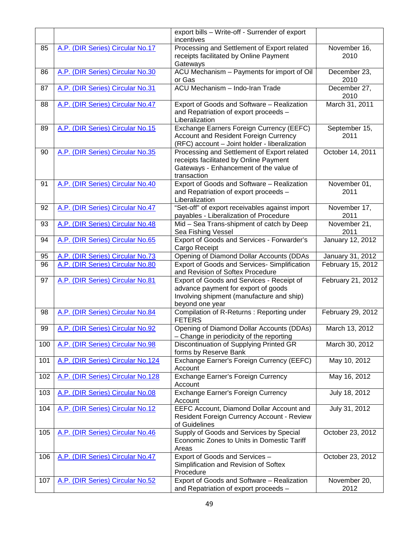|     |                                   | export bills - Write-off - Surrender of export<br>incentives |                   |
|-----|-----------------------------------|--------------------------------------------------------------|-------------------|
| 85  | A.P. (DIR Series) Circular No.17  | Processing and Settlement of Export related                  | November 16,      |
|     |                                   |                                                              |                   |
|     |                                   | receipts facilitated by Online Payment                       | 2010              |
|     |                                   | Gateways                                                     |                   |
| 86  | A.P. (DIR Series) Circular No.30  | ACU Mechanism - Payments for import of Oil                   | December 23,      |
|     |                                   | or Gas                                                       | 2010              |
| 87  | A.P. (DIR Series) Circular No.31  | ACU Mechanism - Indo-Iran Trade                              | December 27,      |
|     |                                   |                                                              | 2010              |
| 88  | A.P. (DIR Series) Circular No.47  | Export of Goods and Software - Realization                   | March 31, 2011    |
|     |                                   | and Repatriation of export proceeds -                        |                   |
|     |                                   | Liberalization                                               |                   |
| 89  | A.P. (DIR Series) Circular No.15  | Exchange Earners Foreign Currency (EEFC)                     | September 15,     |
|     |                                   | <b>Account and Resident Foreign Currency</b>                 | 2011              |
|     |                                   |                                                              |                   |
|     |                                   | (RFC) account - Joint holder - liberalization                |                   |
| 90  | A.P. (DIR Series) Circular No.35  | Processing and Settlement of Export related                  | October 14, 2011  |
|     |                                   | receipts facilitated by Online Payment                       |                   |
|     |                                   | Gateways - Enhancement of the value of                       |                   |
|     |                                   | transaction                                                  |                   |
| 91  | A.P. (DIR Series) Circular No.40  | Export of Goods and Software - Realization                   | November 01,      |
|     |                                   | and Repatriation of export proceeds -                        | 2011              |
|     |                                   | Liberalization                                               |                   |
| 92  | A.P. (DIR Series) Circular No.47  | "Set-off" of export receivables against import               | November 17,      |
|     |                                   | payables - Liberalization of Procedure                       | 2011              |
| 93  | A.P. (DIR Series) Circular No.48  | Mid - Sea Trans-shipment of catch by Deep                    | November 21,      |
|     |                                   | Sea Fishing Vessel                                           | 2011              |
| 94  | A.P. (DIR Series) Circular No.65  | Export of Goods and Services - Forwarder's                   | January 12, 2012  |
|     |                                   | Cargo Receipt                                                |                   |
|     | A.P. (DIR Series) Circular No.73  |                                                              |                   |
| 95  |                                   | Opening of Diamond Dollar Accounts (DDAs                     | January 31, 2012  |
| 96  | A.P. (DIR Series) Circular No.80  | <b>Export of Goods and Services- Simplification</b>          | February 15, 2012 |
|     |                                   | and Revision of Softex Procedure                             |                   |
| 97  | A.P. (DIR Series) Circular No.81  | Export of Goods and Services - Receipt of                    | February 21, 2012 |
|     |                                   | advance payment for export of goods                          |                   |
|     |                                   | Involving shipment (manufacture and ship)                    |                   |
|     |                                   | beyond one year                                              |                   |
| 98  | A.P. (DIR Series) Circular No.84  | Compilation of R-Returns : Reporting under                   | February 29, 2012 |
|     |                                   | <b>FETERS</b>                                                |                   |
| 99  | A.P. (DIR Series) Circular No.92  | Opening of Diamond Dollar Accounts (DDAs)                    | March 13, 2012    |
|     |                                   | - Change in periodicity of the reporting                     |                   |
| 100 | A.P. (DIR Series) Circular No.98  | Discontinuation of Supplying Printed GR                      | March 30, 2012    |
|     |                                   | forms by Reserve Bank                                        |                   |
| 101 | A.P. (DIR Series) Circular No.124 | Exchange Earner's Foreign Currency (EEFC)                    | May 10, 2012      |
|     |                                   | Account                                                      |                   |
| 102 | A.P. (DIR Series) Circular No.128 | <b>Exchange Earner's Foreign Currency</b>                    | May 16, 2012      |
|     |                                   |                                                              |                   |
|     |                                   | Account                                                      |                   |
| 103 | A.P. (DIR Series) Circular No.08  | <b>Exchange Earner's Foreign Currency</b>                    | July 18, 2012     |
|     |                                   | Account                                                      |                   |
| 104 | A.P. (DIR Series) Circular No.12  | EEFC Account, Diamond Dollar Account and                     | July 31, 2012     |
|     |                                   | <b>Resident Foreign Currency Account - Review</b>            |                   |
|     |                                   | of Guidelines                                                |                   |
| 105 | A.P. (DIR Series) Circular No.46  | Supply of Goods and Services by Special                      | October 23, 2012  |
|     |                                   | Economic Zones to Units in Domestic Tariff                   |                   |
|     |                                   | Areas                                                        |                   |
| 106 | A.P. (DIR Series) Circular No.47  | Export of Goods and Services -                               | October 23, 2012  |
|     |                                   | Simplification and Revision of Softex                        |                   |
|     |                                   | Procedure                                                    |                   |
| 107 | A.P. (DIR Series) Circular No.52  | Export of Goods and Software - Realization                   | November 20,      |
|     |                                   | and Repatriation of export proceeds -                        | 2012              |
|     |                                   |                                                              |                   |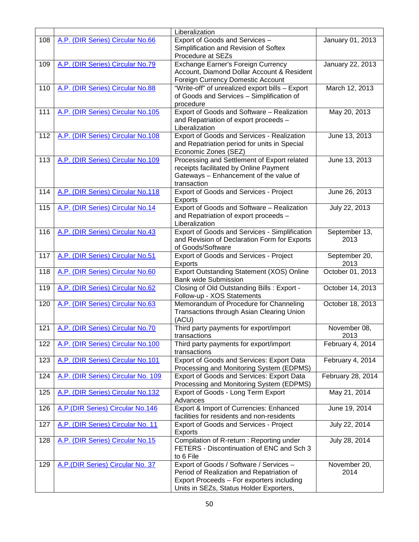|     |                                    | Liberalization                                                                                |                       |
|-----|------------------------------------|-----------------------------------------------------------------------------------------------|-----------------------|
| 108 | A.P. (DIR Series) Circular No.66   | Export of Goods and Services -                                                                | January 01, 2013      |
|     |                                    | Simplification and Revision of Softex                                                         |                       |
|     |                                    | Procedure at SEZs                                                                             |                       |
| 109 | A.P. (DIR Series) Circular No.79   | Exchange Earner's Foreign Currency                                                            | January 22, 2013      |
|     |                                    | Account, Diamond Dollar Account & Resident<br>Foreign Currency Domestic Account               |                       |
| 110 | A.P. (DIR Series) Circular No.88   | "Write-off" of unrealized export bills - Export                                               | March 12, 2013        |
|     |                                    | of Goods and Services - Simplification of                                                     |                       |
|     |                                    | procedure                                                                                     |                       |
| 111 | A.P. (DIR Series) Circular No.105  | Export of Goods and Software - Realization                                                    | May 20, 2013          |
|     |                                    | and Repatriation of export proceeds -                                                         |                       |
|     |                                    | Liberalization                                                                                |                       |
| 112 | A.P. (DIR Series) Circular No.108  | Export of Goods and Services - Realization<br>and Repatriation period for units in Special    | June 13, 2013         |
|     |                                    | Economic Zones (SEZ)                                                                          |                       |
| 113 | A.P. (DIR Series) Circular No.109  | Processing and Settlement of Export related                                                   | June 13, 2013         |
|     |                                    | receipts facilitated by Online Payment                                                        |                       |
|     |                                    | Gateways - Enhancement of the value of                                                        |                       |
| 114 | A.P. (DIR Series) Circular No.118  | transaction<br>Export of Goods and Services - Project                                         | June 26, 2013         |
|     |                                    | Exports                                                                                       |                       |
| 115 | A.P. (DIR Series) Circular No.14   | Export of Goods and Software - Realization                                                    | July 22, 2013         |
|     |                                    | and Repatriation of export proceeds -                                                         |                       |
|     |                                    | Liberalization                                                                                |                       |
| 116 | A.P. (DIR Series) Circular No.43   | Export of Goods and Services - Simplification<br>and Revision of Declaration Form for Exports | September 13,<br>2013 |
|     |                                    | of Goods/Software                                                                             |                       |
| 117 | A.P. (DIR Series) Circular No.51   | Export of Goods and Services - Project                                                        | September 20,         |
|     |                                    | <b>Exports</b>                                                                                | 2013                  |
| 118 | A.P. (DIR Series) Circular No.60   | Export Outstanding Statement (XOS) Online<br><b>Bank wide Submission</b>                      | October 01, 2013      |
| 119 | A.P. (DIR Series) Circular No.62   | Closing of Old Outstanding Bills : Export -                                                   | October 14, 2013      |
|     |                                    | Follow-up - XOS Statements                                                                    |                       |
| 120 | A.P. (DIR Series) Circular No.63   | Memorandum of Procedure for Channeling                                                        | October 18, 2013      |
|     |                                    | Transactions through Asian Clearing Union<br>(ACU)                                            |                       |
| 121 | A.P. (DIR Series) Circular No.70   | Third party payments for export/import                                                        | November 08,          |
|     |                                    | transactions                                                                                  | 2013                  |
| 122 | A.P. (DIR Series) Circular No.100  | Third party payments for export/import                                                        | February 4, 2014      |
|     |                                    | transactions                                                                                  |                       |
| 123 | A.P. (DIR Series) Circular No.101  | Export of Goods and Services: Export Data                                                     | February 4, 2014      |
| 124 | A.P. (DIR Series) Circular No. 109 | Processing and Monitoring System (EDPMS)<br>Export of Goods and Services: Export Data         | February 28, 2014     |
|     |                                    | Processing and Monitoring System (EDPMS)                                                      |                       |
| 125 | A.P. (DIR Series) Circular No.132  | Export of Goods - Long Term Export                                                            | May 21, 2014          |
|     |                                    | Advances                                                                                      |                       |
| 126 | A.P. (DIR Series) Circular No.146  | Export & Import of Currencies: Enhanced                                                       | June 19, 2014         |
|     | A.P. (DIR Series) Circular No. 11  | facilities for residents and non-residents                                                    | July 22, 2014         |
| 127 |                                    | Export of Goods and Services - Project<br><b>Exports</b>                                      |                       |
| 128 | A.P. (DIR Series) Circular No.15   | Compilation of R-return : Reporting under                                                     | July 28, 2014         |
|     |                                    | FETERS - Discontinuation of ENC and Sch 3                                                     |                       |
|     |                                    | to 6 File                                                                                     |                       |
| 129 | A.P. (DIR Series) Circular No. 37  | Export of Goods / Software / Services -<br>Period of Realization and Repatriation of          | November 20,<br>2014  |
|     |                                    | Export Proceeds - For exporters including                                                     |                       |
|     |                                    | Units in SEZs, Status Holder Exporters,                                                       |                       |
|     |                                    |                                                                                               |                       |